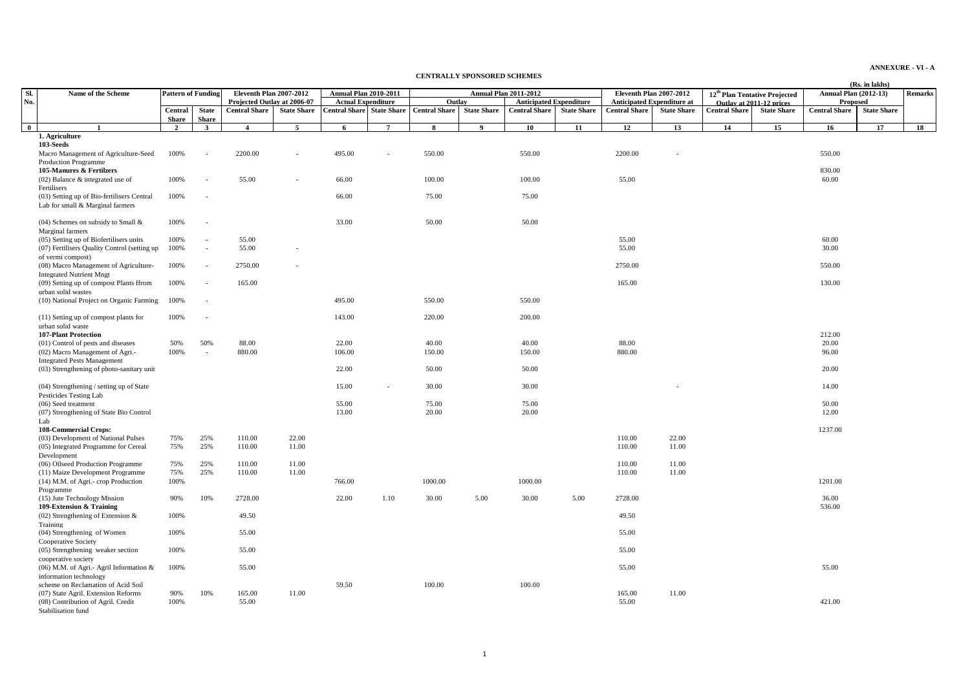**ANNEXURE - VI - A**

## **CENTRALLY SPONSORED SCHEMES**

|              |                                              |                           |                          |                             |                    |                                  |                |                      |                    |                                |                    |                      |                                   |                          |                                           |                              | (Rs. in lakhs)     |                |
|--------------|----------------------------------------------|---------------------------|--------------------------|-----------------------------|--------------------|----------------------------------|----------------|----------------------|--------------------|--------------------------------|--------------------|----------------------|-----------------------------------|--------------------------|-------------------------------------------|------------------------------|--------------------|----------------|
| SL           | Name of the Scheme                           | <b>Pattern of Funding</b> |                          | Eleventh Plan 2007-2012     |                    | <b>Annual Plan 2010-2011</b>     |                |                      |                    | <b>Annual Plan 2011-2012</b>   |                    |                      | Eleventh Plan 2007-2012           |                          | 12 <sup>th</sup> Plan Tentative Projected | <b>Annual Plan (2012-13)</b> |                    | <b>Remarks</b> |
| No.          |                                              |                           |                          | Projected Outlay at 2006-07 |                    | <b>Actual Expenditure</b>        |                | Outlay               |                    | <b>Anticipated Expenditure</b> |                    |                      | <b>Anticipated Expenditure at</b> | Outlay at 2011-12 prices |                                           | Proposed                     |                    |                |
|              |                                              | Central                   | <b>State</b>             | <b>Central Share</b>        | <b>State Share</b> | <b>Central Share State Share</b> |                | <b>Central Share</b> | <b>State Share</b> | <b>Central Share</b>           | <b>State Share</b> | <b>Central Share</b> | <b>State Share</b>                | <b>Central Share</b>     | <b>State Share</b>                        | <b>Central Share</b>         | <b>State Share</b> |                |
|              |                                              | <b>Share</b>              | <b>Share</b>             |                             |                    |                                  |                |                      |                    |                                |                    |                      |                                   |                          |                                           |                              |                    |                |
| $\mathbf{0}$ | $\mathbf{1}$                                 | 2                         | $\mathbf{3}$             | $\overline{4}$              | 5                  | 6                                | $\overline{7}$ | 8                    | 9                  | 10 <sup>°</sup>                | 11                 | 12                   | 13                                | 14                       | 15                                        | 16                           | 17                 | 18             |
|              | 1. Agriculture                               |                           |                          |                             |                    |                                  |                |                      |                    |                                |                    |                      |                                   |                          |                                           |                              |                    |                |
|              | 103-Seeds                                    |                           |                          |                             |                    |                                  |                |                      |                    |                                |                    |                      |                                   |                          |                                           |                              |                    |                |
|              | Macro Management of Agriculture-Seed         | 100%                      |                          | 2200.00                     |                    | 495.00                           |                | 550.00               |                    | 550.00                         |                    | 2200.00              |                                   |                          |                                           | 550.00                       |                    |                |
|              | <b>Production Programme</b>                  |                           |                          |                             |                    |                                  |                |                      |                    |                                |                    |                      |                                   |                          |                                           |                              |                    |                |
|              | 105-Manures & Fertilzers                     |                           |                          |                             |                    |                                  |                |                      |                    |                                |                    |                      |                                   |                          |                                           | 830.00                       |                    |                |
|              |                                              | 100%                      |                          | 55.00                       | $\sim$             | 66.00                            |                | 100.00               |                    | 100.00                         |                    | 55.00                |                                   |                          |                                           | 60.00                        |                    |                |
|              | $(02)$ Balance & integrated use of           |                           | ٠                        |                             |                    |                                  |                |                      |                    |                                |                    |                      |                                   |                          |                                           |                              |                    |                |
|              | Fertilisers                                  |                           |                          |                             |                    |                                  |                |                      |                    |                                |                    |                      |                                   |                          |                                           |                              |                    |                |
|              | (03) Setting up of Bio-fertilisers Central   | 100%                      |                          |                             |                    | 66.00                            |                | 75.00                |                    | 75.00                          |                    |                      |                                   |                          |                                           |                              |                    |                |
|              | Lab for small & Marginal farmers             |                           |                          |                             |                    |                                  |                |                      |                    |                                |                    |                      |                                   |                          |                                           |                              |                    |                |
|              |                                              |                           |                          |                             |                    |                                  |                |                      |                    |                                |                    |                      |                                   |                          |                                           |                              |                    |                |
|              | (04) Schemes on subsidy to Small &           | 100%                      | $\overline{a}$           |                             |                    | 33.00                            |                | 50.00                |                    | 50.00                          |                    |                      |                                   |                          |                                           |                              |                    |                |
|              | Marginal farmers                             |                           |                          |                             |                    |                                  |                |                      |                    |                                |                    |                      |                                   |                          |                                           |                              |                    |                |
|              | (05) Setting up of Biofertilisers units      | 100%                      | $\overline{\phantom{a}}$ | 55.00                       |                    |                                  |                |                      |                    |                                |                    | 55.00                |                                   |                          |                                           | 60.00                        |                    |                |
|              | (07) Fertilisers Quality Control (setting up | 100%                      | $\sim$                   | 55.00                       |                    |                                  |                |                      |                    |                                |                    | 55.00                |                                   |                          |                                           | 30.00                        |                    |                |
|              | of vermi compost)                            |                           |                          |                             |                    |                                  |                |                      |                    |                                |                    |                      |                                   |                          |                                           |                              |                    |                |
|              | (08) Macro Management of Agriculture-        | 100%                      | $\overline{\phantom{a}}$ | 2750.00                     |                    |                                  |                |                      |                    |                                |                    | 2750.00              |                                   |                          |                                           | 550.00                       |                    |                |
|              | <b>Integrated Nutrient Mngt</b>              |                           |                          |                             |                    |                                  |                |                      |                    |                                |                    |                      |                                   |                          |                                           |                              |                    |                |
|              | (09) Setting up of compost Plants ffrom      | 100%                      | $\sim$                   | 165.00                      |                    |                                  |                |                      |                    |                                |                    | 165.00               |                                   |                          |                                           | 130.00                       |                    |                |
|              | urban solid wastes                           |                           |                          |                             |                    |                                  |                |                      |                    |                                |                    |                      |                                   |                          |                                           |                              |                    |                |
|              | (10) National Project on Organic Farming     | 100%                      | $\overline{a}$           |                             |                    | 495.00                           |                | 550.00               |                    | 550.00                         |                    |                      |                                   |                          |                                           |                              |                    |                |
|              |                                              |                           |                          |                             |                    |                                  |                |                      |                    |                                |                    |                      |                                   |                          |                                           |                              |                    |                |
|              | (11) Setting up of compost plants for        | 100%                      |                          |                             |                    | 143.00                           |                | 220.00               |                    | 200.00                         |                    |                      |                                   |                          |                                           |                              |                    |                |
|              | urban solid waste                            |                           |                          |                             |                    |                                  |                |                      |                    |                                |                    |                      |                                   |                          |                                           |                              |                    |                |
|              | <b>107-Plant Protection</b>                  |                           |                          |                             |                    |                                  |                |                      |                    |                                |                    |                      |                                   |                          |                                           | 212.00                       |                    |                |
|              | (01) Control of pests and diseases           | 50%                       | 50%                      | 88.00                       |                    | 22.00                            |                | 40.00                |                    | 40.00                          |                    | 88.00                |                                   |                          |                                           | 20.00                        |                    |                |
|              | (02) Macro Management of Agri.-              | 100%                      | $\overline{\phantom{a}}$ | 880.00                      |                    | 106.00                           |                | 150.00               |                    | 150.00                         |                    | 880.00               |                                   |                          |                                           | 96.00                        |                    |                |
|              | <b>Integrated Pests Management</b>           |                           |                          |                             |                    |                                  |                |                      |                    |                                |                    |                      |                                   |                          |                                           |                              |                    |                |
|              | (03) Strengthening of photo-sanitary unit    |                           |                          |                             |                    | 22.00                            |                | 50.00                |                    | 50.00                          |                    |                      |                                   |                          |                                           | 20.00                        |                    |                |
|              |                                              |                           |                          |                             |                    |                                  |                |                      |                    |                                |                    |                      |                                   |                          |                                           |                              |                    |                |
|              | (04) Strengthening / setting up of State     |                           |                          |                             |                    | 15.00                            | $\sim$         | 30.00                |                    | 30.00                          |                    |                      |                                   |                          |                                           | 14.00                        |                    |                |
|              | Pesticides Testing Lab                       |                           |                          |                             |                    |                                  |                |                      |                    |                                |                    |                      |                                   |                          |                                           |                              |                    |                |
|              | (06) Seed treatment                          |                           |                          |                             |                    | 55.00                            |                | 75.00                |                    | 75.00                          |                    |                      |                                   |                          |                                           | 50.00                        |                    |                |
|              | (07) Strengthening of State Bio Control      |                           |                          |                             |                    | 13.00                            |                | 20.00                |                    | 20.00                          |                    |                      |                                   |                          |                                           | 12.00                        |                    |                |
|              | Lab                                          |                           |                          |                             |                    |                                  |                |                      |                    |                                |                    |                      |                                   |                          |                                           |                              |                    |                |
|              | <b>108-Commercial Crops:</b>                 |                           |                          |                             |                    |                                  |                |                      |                    |                                |                    |                      |                                   |                          |                                           | 1237.00                      |                    |                |
|              | (03) Development of National Pulses          | 75%                       | 25%                      | 110.00                      | 22.00              |                                  |                |                      |                    |                                |                    | 110.00               | 22.00                             |                          |                                           |                              |                    |                |
|              | (05) Integrated Programme for Cereal         | 75%                       | 25%                      | 110.00                      | 11.00              |                                  |                |                      |                    |                                |                    | 110.00               | 11.00                             |                          |                                           |                              |                    |                |
|              | Development                                  |                           |                          |                             |                    |                                  |                |                      |                    |                                |                    |                      |                                   |                          |                                           |                              |                    |                |
|              | (06) Oilseed Production Programme            | 75%                       | 25%                      | 110.00                      | 11.00              |                                  |                |                      |                    |                                |                    | 110.00               | 11.00                             |                          |                                           |                              |                    |                |
|              | (11) Maize Development Programme             | 75%                       | 25%                      | 110.00                      | 11.00              |                                  |                |                      |                    |                                |                    | 110.00               | 11.00                             |                          |                                           |                              |                    |                |
|              | (14) M.M. of Agri.- crop Production          | 100%                      |                          |                             |                    | 766.00                           |                | 1000.00              |                    | 1000.00                        |                    |                      |                                   |                          |                                           | 1201.00                      |                    |                |
|              | Programme                                    |                           |                          |                             |                    |                                  |                |                      |                    |                                |                    |                      |                                   |                          |                                           |                              |                    |                |
|              | (15) Jute Technology Mission                 | 90%                       | 10%                      | 2728.00                     |                    | 22.00                            | 1.10           | 30.00                | 5.00               | 30.00                          | 5.00               | 2728.00              |                                   |                          |                                           | 36.00                        |                    |                |
|              | 109-Extension & Training                     |                           |                          |                             |                    |                                  |                |                      |                    |                                |                    |                      |                                   |                          |                                           | 536.00                       |                    |                |
|              | $(02)$ Strengthening of Extension &          | 100%                      |                          | 49.50                       |                    |                                  |                |                      |                    |                                |                    | 49.50                |                                   |                          |                                           |                              |                    |                |
|              | Training                                     |                           |                          |                             |                    |                                  |                |                      |                    |                                |                    |                      |                                   |                          |                                           |                              |                    |                |
|              | (04) Strengthening of Women                  | 100%                      |                          | 55.00                       |                    |                                  |                |                      |                    |                                |                    | 55.00                |                                   |                          |                                           |                              |                    |                |
|              | Cooperative Society                          |                           |                          |                             |                    |                                  |                |                      |                    |                                |                    |                      |                                   |                          |                                           |                              |                    |                |
|              | (05) Strengthening weaker section            | 100%                      |                          | 55.00                       |                    |                                  |                |                      |                    |                                |                    | 55.00                |                                   |                          |                                           |                              |                    |                |
|              |                                              |                           |                          |                             |                    |                                  |                |                      |                    |                                |                    |                      |                                   |                          |                                           |                              |                    |                |
|              | cooperative society                          |                           |                          |                             |                    |                                  |                |                      |                    |                                |                    |                      |                                   |                          |                                           | 55.00                        |                    |                |
|              | (06) M.M. of Agri.- Agril Information &      | 100%                      |                          | 55.00                       |                    |                                  |                |                      |                    |                                |                    | 55.00                |                                   |                          |                                           |                              |                    |                |
|              | information technology                       |                           |                          |                             |                    | 59.50                            |                | 100.00               |                    | 100.00                         |                    |                      |                                   |                          |                                           |                              |                    |                |
|              | scheme on Reclamation of Acid Soil           | 90%                       |                          |                             | 11.00              |                                  |                |                      |                    |                                |                    |                      | 11.00                             |                          |                                           |                              |                    |                |
|              | (07) State Agril, Extension Reforms          | 100%                      | 10%                      | 165.00<br>55.00             |                    |                                  |                |                      |                    |                                |                    | 165.00<br>55.00      |                                   |                          |                                           | 421.00                       |                    |                |
|              | (08) Contribution of Agril. Credit           |                           |                          |                             |                    |                                  |                |                      |                    |                                |                    |                      |                                   |                          |                                           |                              |                    |                |
|              | Stabilisation fund                           |                           |                          |                             |                    |                                  |                |                      |                    |                                |                    |                      |                                   |                          |                                           |                              |                    |                |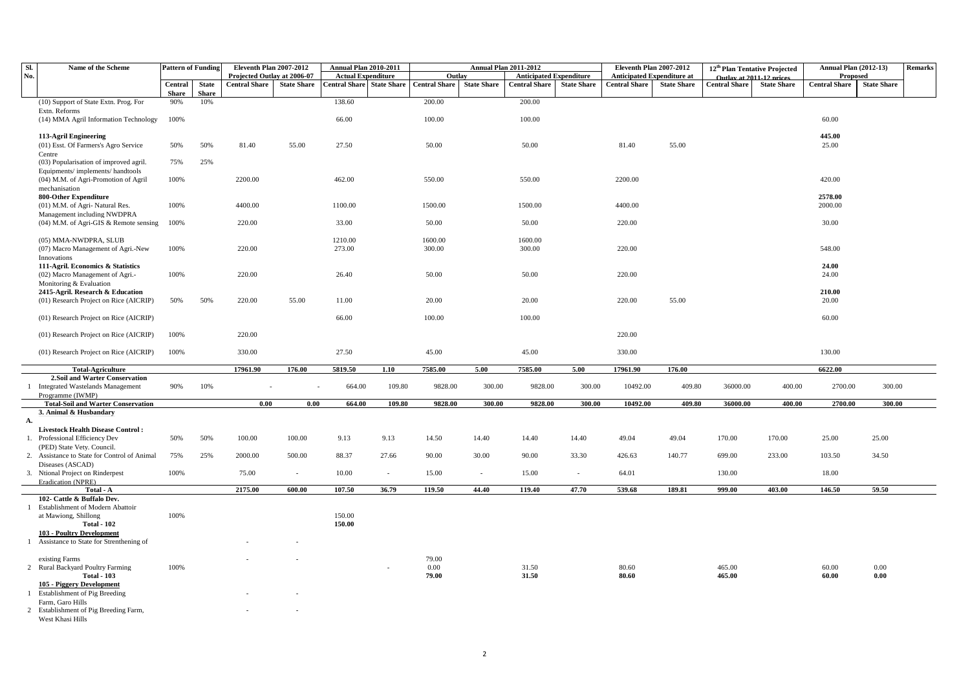| Sl.            | Name of the Scheme                                                     | <b>Pattern of Funding</b> |                              | Eleventh Plan 2007-2012     |                    | <b>Annual Plan 2010-2011</b> |                    |                      | <b>Annual Plan 2011-2012</b> |                                |                    | Eleventh Plan 2007-2012           |                    | 12 <sup>th</sup> Plan Tentative Projected |                    | <b>Annual Plan (2012-13)</b> |                     | <b>Remarks</b> |
|----------------|------------------------------------------------------------------------|---------------------------|------------------------------|-----------------------------|--------------------|------------------------------|--------------------|----------------------|------------------------------|--------------------------------|--------------------|-----------------------------------|--------------------|-------------------------------------------|--------------------|------------------------------|---------------------|----------------|
| No.            |                                                                        |                           |                              | Projected Outlay at 2006-07 |                    | <b>Actual Expenditure</b>    |                    | Outlav               |                              | <b>Anticipated Expenditure</b> |                    | <b>Anticipated Expenditure at</b> |                    | Outlay at 2011-12 prices                  |                    | Proposed                     |                     |                |
|                |                                                                        | Central                   | <b>State</b><br><b>Share</b> | <b>Central Share</b>        | <b>State Share</b> | <b>Central Share</b>         | <b>State Share</b> | <b>Central Share</b> | <b>State Share</b>           | <b>Central Share</b>           | <b>State Share</b> | <b>Central Share</b>              | <b>State Share</b> | <b>Central Share</b>                      | <b>State Share</b> | <b>Central Share</b>         | <b>State Share</b>  |                |
|                | (10) Support of State Extn. Prog. For                                  | <b>Share</b><br>90%       | 10%                          |                             |                    | 138.60                       |                    | 200.00               |                              | 200.00                         |                    |                                   |                    |                                           |                    |                              |                     |                |
|                | Extn. Reforms                                                          |                           |                              |                             |                    |                              |                    |                      |                              |                                |                    |                                   |                    |                                           |                    |                              |                     |                |
|                | (14) MMA Agril Information Technology                                  | 100%                      |                              |                             |                    | 66.00                        |                    | 100.00               |                              | 100.00                         |                    |                                   |                    |                                           |                    | 60.00                        |                     |                |
|                |                                                                        |                           |                              |                             |                    |                              |                    |                      |                              |                                |                    |                                   |                    |                                           |                    |                              |                     |                |
|                | 113-Agril Engineering                                                  |                           |                              |                             |                    |                              |                    |                      |                              |                                |                    |                                   |                    |                                           |                    | 445.00                       |                     |                |
|                | (01) Esst. Of Farmers's Agro Service                                   | 50%                       | 50%                          | 81.40                       | 55.00              | 27.50                        |                    | 50.00                |                              | 50.00                          |                    | 81.40                             | 55.00              |                                           |                    | 25.00                        |                     |                |
|                | Centre<br>(03) Popularisation of improved agril.                       | 75%                       | 25%                          |                             |                    |                              |                    |                      |                              |                                |                    |                                   |                    |                                           |                    |                              |                     |                |
|                | Equipments/implements/handtools                                        |                           |                              |                             |                    |                              |                    |                      |                              |                                |                    |                                   |                    |                                           |                    |                              |                     |                |
|                | (04) M.M. of Agri-Promotion of Agril                                   | 100%                      |                              | 2200.00                     |                    | 462.00                       |                    | 550.00               |                              | 550.00                         |                    | 2200.00                           |                    |                                           |                    | 420.00                       |                     |                |
|                | mechanisation                                                          |                           |                              |                             |                    |                              |                    |                      |                              |                                |                    |                                   |                    |                                           |                    |                              |                     |                |
|                | 800-Other Expenditure                                                  |                           |                              |                             |                    |                              |                    |                      |                              |                                |                    |                                   |                    |                                           |                    | 2578.00                      |                     |                |
|                | (01) M.M. of Agri- Natural Res.                                        | 100%                      |                              | 4400.00                     |                    | 1100.00                      |                    | 1500.00              |                              | 1500.00                        |                    | 4400.00                           |                    |                                           |                    | 2000.00                      |                     |                |
|                | Management including NWDPRA                                            |                           |                              |                             |                    |                              |                    |                      |                              |                                |                    |                                   |                    |                                           |                    |                              |                     |                |
|                | $(04)$ M.M. of Agri-GIS & Remote sensing                               | 100%                      |                              | 220.00                      |                    | 33.00                        |                    | 50.00                |                              | 50.00                          |                    | 220.00                            |                    |                                           |                    | 30.00                        |                     |                |
|                | (05) MMA-NWDPRA, SLUB                                                  |                           |                              |                             |                    | 1210.00                      |                    | 1600.00              |                              | 1600.00                        |                    |                                   |                    |                                           |                    |                              |                     |                |
|                | (07) Macro Management of Agri.-New                                     | 100%                      |                              | 220.00                      |                    | 273.00                       |                    | 300.00               |                              | 300.00                         |                    | 220.00                            |                    |                                           |                    | 548.00                       |                     |                |
|                | Innovations                                                            |                           |                              |                             |                    |                              |                    |                      |                              |                                |                    |                                   |                    |                                           |                    |                              |                     |                |
|                | 111-Agril. Economics & Statistics                                      |                           |                              |                             |                    |                              |                    |                      |                              |                                |                    |                                   |                    |                                           |                    | 24.00                        |                     |                |
|                | (02) Macro Management of Agri.-                                        | 100%                      |                              | 220.00                      |                    | 26.40                        |                    | 50.00                |                              | 50.00                          |                    | 220.00                            |                    |                                           |                    | 24.00                        |                     |                |
|                | Monitoring & Evaluation                                                |                           |                              |                             |                    |                              |                    |                      |                              |                                |                    |                                   |                    |                                           |                    |                              |                     |                |
|                | 2415-Agril. Research & Education                                       |                           |                              |                             |                    |                              |                    |                      |                              |                                |                    |                                   |                    |                                           |                    | 210.00                       |                     |                |
|                | (01) Research Project on Rice (AICRIP)                                 | 50%                       | 50%                          | 220.00                      | 55.00              | 11.00                        |                    | 20.00                |                              | 20.00                          |                    | 220.00                            | 55.00              |                                           |                    | 20.00                        |                     |                |
|                | (01) Research Project on Rice (AICRIP)                                 |                           |                              |                             |                    | 66.00                        |                    | 100.00               |                              | 100.00                         |                    |                                   |                    |                                           |                    | 60.00                        |                     |                |
|                |                                                                        |                           |                              |                             |                    |                              |                    |                      |                              |                                |                    |                                   |                    |                                           |                    |                              |                     |                |
|                | (01) Research Project on Rice (AICRIP)                                 | 100%                      |                              | 220.00                      |                    |                              |                    |                      |                              |                                |                    | 220.00                            |                    |                                           |                    |                              |                     |                |
|                |                                                                        |                           |                              |                             |                    |                              |                    |                      |                              |                                |                    |                                   |                    |                                           |                    |                              |                     |                |
|                | (01) Research Project on Rice (AICRIP)                                 | 100%                      |                              | 330.00                      |                    | 27.50                        |                    | 45.00                |                              | 45.00                          |                    | 330.00                            |                    |                                           |                    | 130.00                       |                     |                |
|                | <b>Total-Agriculture</b>                                               |                           |                              | 17961.90                    | 176.00             | 5819.50                      | 1.10               | 7585.00              | 5.00                         | 7585.00                        | 5.00               | 17961.90                          | 176.00             |                                           |                    | 6622.00                      |                     |                |
|                | 2.Soil and Warter Conservation                                         |                           |                              |                             |                    |                              |                    |                      |                              |                                |                    |                                   |                    |                                           |                    |                              |                     |                |
| $\overline{1}$ | <b>Integrated Wastelands Management</b>                                | 90%                       | 10%                          |                             |                    | 664.00                       | 109.80             | 9828.00              | 300.00                       | 9828.00                        | 300.00             | 10492.00                          | 409.80             | 36000.00                                  | 400.00             | 2700.00                      | 300.00              |                |
|                | Programme (IWMP)                                                       |                           |                              |                             |                    |                              |                    |                      |                              |                                |                    |                                   |                    |                                           |                    |                              |                     |                |
|                | <b>Total-Soil and Warter Conservation</b><br>3. Animal & Husbandary    |                           |                              | 0.00                        | 0.00               | 664.00                       | 109.80             | 9828.00              | 300.00                       | 9828.00                        | 300.00             | 10492.00                          | 409.80             | 36000.00                                  | 400.00             | 2700.00                      | 300.00              |                |
| А.             |                                                                        |                           |                              |                             |                    |                              |                    |                      |                              |                                |                    |                                   |                    |                                           |                    |                              |                     |                |
|                | <b>Livestock Health Disease Control:</b>                               |                           |                              |                             |                    |                              |                    |                      |                              |                                |                    |                                   |                    |                                           |                    |                              |                     |                |
|                | 1. Professional Efficiency Dev                                         | 50%                       | 50%                          | 100.00                      | 100.00             | 9.13                         | 9.13               | 14.50                | 14.40                        | 14.40                          | 14.40              | 49.04                             | 49.04              | 170.00                                    | 170.00             | 25.00                        | 25.00               |                |
|                | (PED) State Vety. Council.                                             |                           |                              |                             |                    |                              |                    |                      |                              |                                |                    |                                   |                    |                                           |                    |                              |                     |                |
| 2.             | Assistance to State for Control of Animal                              | 75%                       | 25%                          | 2000.00                     | 500.00             | 88.37                        | 27.66              | 90.00                | 30.00                        | 90.00                          | 33.30              | 426.63                            | 140.77             | 699.00                                    | 233.00             | 103.50                       | 34.50               |                |
|                | Diseases (ASCAD)                                                       |                           |                              |                             |                    |                              |                    |                      | $\sim$                       |                                | $\sim$             |                                   |                    |                                           |                    |                              |                     |                |
|                | 3. Ntional Project on Rinderpest<br>Eradication (NPRE)                 | 100%                      |                              | 75.00                       | $\sim$             | 10.00                        | $\sim$             | 15.00                |                              | 15.00                          |                    | 64.01                             |                    | 130.00                                    |                    | 18.00                        |                     |                |
|                | Total - A                                                              |                           |                              | 2175.00                     | 600.00             | 107.50                       | 36.79              | 119.50               | 44.40                        | 119.40                         | 47.70              | 539.68                            | 189.81             | 999.00                                    | 403.00             | 146.50                       | 59.50               |                |
|                | 102- Cattle & Buffalo Dev.                                             |                           |                              |                             |                    |                              |                    |                      |                              |                                |                    |                                   |                    |                                           |                    |                              |                     |                |
| 1              | Establishment of Modern Abattoir                                       |                           |                              |                             |                    |                              |                    |                      |                              |                                |                    |                                   |                    |                                           |                    |                              |                     |                |
|                | at Mawiong, Shillong                                                   | 100%                      |                              |                             |                    | 150.00                       |                    |                      |                              |                                |                    |                                   |                    |                                           |                    |                              |                     |                |
|                | <b>Total - 102</b>                                                     |                           |                              |                             |                    | 150.00                       |                    |                      |                              |                                |                    |                                   |                    |                                           |                    |                              |                     |                |
|                | 103 - Poultry Development<br>1 Assistance to State for Strenthening of |                           |                              |                             |                    |                              |                    |                      |                              |                                |                    |                                   |                    |                                           |                    |                              |                     |                |
|                |                                                                        |                           |                              |                             |                    |                              |                    |                      |                              |                                |                    |                                   |                    |                                           |                    |                              |                     |                |
|                | existing Farms                                                         |                           |                              |                             |                    |                              |                    | 79.00                |                              |                                |                    |                                   |                    |                                           |                    |                              |                     |                |
|                | 2 Rural Backyard Poultry Farming                                       | 100%                      |                              |                             |                    |                              |                    | 0.00                 |                              | 31.50                          |                    | 80.60                             |                    | 465.00                                    |                    | 60.00                        | 0.00                |                |
|                | <b>Total - 103</b>                                                     |                           |                              |                             |                    |                              |                    | 79.00                |                              | 31.50                          |                    | 80.60                             |                    | 465.00                                    |                    | 60.00                        | $\boldsymbol{0.00}$ |                |
|                | 105 - Piggery Development                                              |                           |                              |                             |                    |                              |                    |                      |                              |                                |                    |                                   |                    |                                           |                    |                              |                     |                |
|                | Establishment of Pig Breeding<br>Farm, Garo Hills                      |                           |                              |                             |                    |                              |                    |                      |                              |                                |                    |                                   |                    |                                           |                    |                              |                     |                |
|                | 2 Establishment of Pig Breeding Farm,                                  |                           |                              |                             |                    |                              |                    |                      |                              |                                |                    |                                   |                    |                                           |                    |                              |                     |                |
|                | $W_{1}$ of $W_{2}$ of $W_{3}$ of $W_{4}$                               |                           |                              |                             |                    |                              |                    |                      |                              |                                |                    |                                   |                    |                                           |                    |                              |                     |                |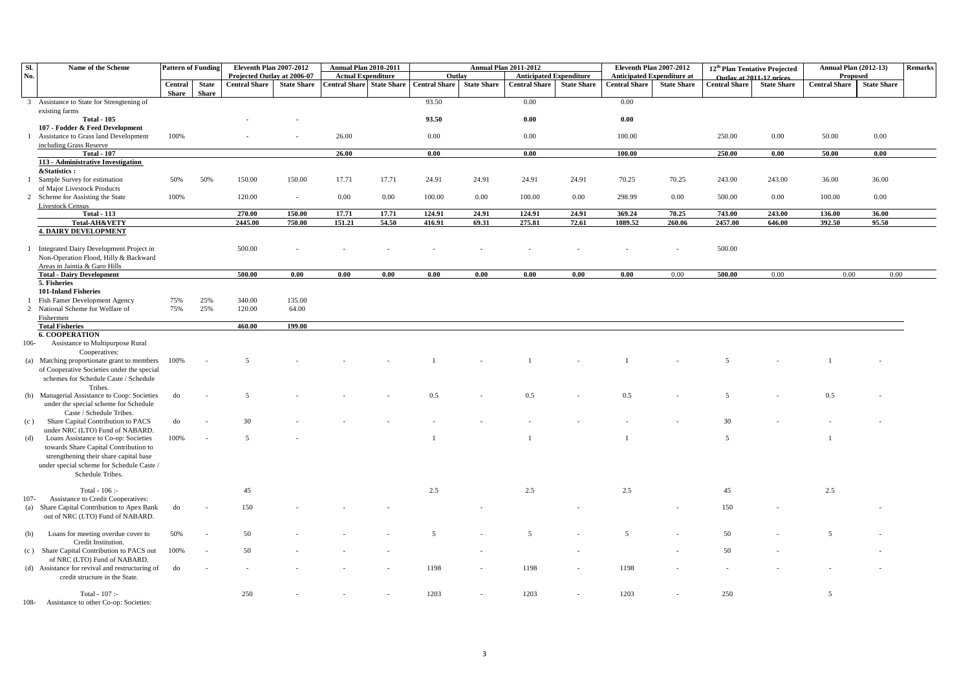| SI.          | Name of the Scheme                                             | <b>Pattern of Funding</b> |                              | <b>Eleventh Plan 2007-2012</b> |                    | <b>Annual Plan 2010-2011</b>     |       |                      |                    | <b>Annual Plan 2011-2012</b>   |                    | Eleventh Plan 2007-2012           |                    | 12 <sup>th</sup> Plan Tentative Projected |                    | <b>Annual Plan (2012-13)</b> |                    | Remarks |
|--------------|----------------------------------------------------------------|---------------------------|------------------------------|--------------------------------|--------------------|----------------------------------|-------|----------------------|--------------------|--------------------------------|--------------------|-----------------------------------|--------------------|-------------------------------------------|--------------------|------------------------------|--------------------|---------|
| No.          |                                                                |                           |                              | Projected Outlay at 2006-07    |                    | <b>Actual Expenditure</b>        |       | Outlay               |                    | <b>Anticipated Expenditure</b> |                    | <b>Anticipated Expenditure at</b> |                    | Outlay at 2011-12 prices                  |                    | Proposed                     |                    |         |
|              |                                                                | Central<br>Share          | <b>State</b><br><b>Share</b> | <b>Central Share</b>           | <b>State Share</b> | <b>Central Share State Share</b> |       | <b>Central Share</b> | <b>State Share</b> | <b>Central Share</b>           | <b>State Share</b> | <b>Central Share</b>              | <b>State Share</b> | <b>Central Share</b>                      | <b>State Share</b> | <b>Central Share</b>         | <b>State Share</b> |         |
|              | 3 Assistance to State for Strengtening of                      |                           |                              |                                |                    |                                  |       | 93.50                |                    | 0.00                           |                    | 0.00                              |                    |                                           |                    |                              |                    |         |
|              | existing farms                                                 |                           |                              |                                |                    |                                  |       |                      |                    |                                |                    |                                   |                    |                                           |                    |                              |                    |         |
|              | <b>Total - 105</b>                                             |                           |                              |                                |                    |                                  |       | 93.50                |                    | 0.00                           |                    | 0.00                              |                    |                                           |                    |                              |                    |         |
|              | 107 - Fodder & Feed Development                                |                           |                              |                                |                    |                                  |       |                      |                    |                                |                    |                                   |                    |                                           |                    |                              |                    |         |
|              | Assistance to Grass land Development                           | 100%                      |                              |                                |                    | 26.00                            |       | 0.00                 |                    | 0.00                           |                    | 100.00                            |                    | 250.00                                    | 0.00               | 50.00                        | $0.00\,$           |         |
|              | including Grass Reserve                                        |                           |                              |                                |                    |                                  |       |                      |                    |                                |                    |                                   |                    |                                           |                    |                              |                    |         |
|              | <b>Total - 107</b><br>113 - Administrative Investigation       |                           |                              |                                |                    | 26.00                            |       | 0.00                 |                    | 0.00                           |                    | 100.00                            |                    | 250.00                                    | 0.00               | 50.00                        | 0.00               |         |
|              | &Statistics:                                                   |                           |                              |                                |                    |                                  |       |                      |                    |                                |                    |                                   |                    |                                           |                    |                              |                    |         |
|              | 1 Sample Survey for estimation                                 | 50%                       | 50%                          | 150.00                         | 150.00             | 17.71                            | 17.71 | 24.91                | 24.91              | 24.91                          | 24.91              | 70.25                             | 70.25              | 243.00                                    | 243.00             | 36.00                        | 36.00              |         |
|              | of Major Livestock Products                                    |                           |                              |                                |                    |                                  |       |                      |                    |                                |                    |                                   |                    |                                           |                    |                              |                    |         |
|              | 2 Scheme for Assisting the State                               | 100%                      |                              | 120.00                         | $\sim$             | 0.00                             | 0.00  | 100.00               | 0.00               | 100.00                         | 0.00               | 298.99                            | 0.00               | 500.00                                    | 0.00               | 100.00                       | 0.00               |         |
|              | <b>Livestock Census</b>                                        |                           |                              |                                |                    |                                  |       |                      |                    |                                |                    |                                   |                    |                                           |                    |                              |                    |         |
|              | <b>Total - 113</b>                                             |                           |                              | 270.00                         | 150.00             | 17.71                            | 17.71 | 124.91               | 24.91              | 124.91                         | 24.91              | 369.24                            | 70.25              | 743.00                                    | 243.00             | 136.00                       | 36.00              |         |
|              | Total-AH&VETY<br><b>4. DAIRY DEVELOPMENT</b>                   |                           |                              | 2445.00                        | 750.00             | 151.21                           | 54.50 | 416.91               | 69.31              | 275.81                         | 72.61              | 1089.52                           | 260.06             | 2457.00                                   | 646.00             | 392.50                       | 95.50              |         |
|              |                                                                |                           |                              |                                |                    |                                  |       |                      |                    |                                |                    |                                   |                    |                                           |                    |                              |                    |         |
| $\mathbf{1}$ | Integrated Dairy Development Project in                        |                           |                              | 500.00                         |                    |                                  |       |                      |                    |                                |                    |                                   |                    | 500.00                                    |                    |                              |                    |         |
|              | Non-Operation Flood, Hilly & Backward                          |                           |                              |                                |                    |                                  |       |                      |                    |                                |                    |                                   |                    |                                           |                    |                              |                    |         |
|              | Areas in Jaintia & Garo Hills                                  |                           |                              |                                |                    |                                  |       |                      |                    |                                |                    |                                   |                    |                                           |                    |                              |                    |         |
|              | <b>Total - Dairy Development</b>                               |                           |                              | 500.00                         | 0.00               | 0.00                             | 0.00  | 0.00                 | 0.00               | 0.00                           | 0.00               | 0.00                              | 0.00               | 500.00                                    | 0.00               | 0.00                         | 0.00               |         |
|              | 5. Fisheries<br><b>101-Inland Fisheries</b>                    |                           |                              |                                |                    |                                  |       |                      |                    |                                |                    |                                   |                    |                                           |                    |                              |                    |         |
|              | Fish Famer Development Agency                                  | 75%                       | 25%                          | 340.00                         | 135.00             |                                  |       |                      |                    |                                |                    |                                   |                    |                                           |                    |                              |                    |         |
|              | 2 National Scheme for Welfare of                               | 75%                       | 25%                          | 120.00                         | 64.00              |                                  |       |                      |                    |                                |                    |                                   |                    |                                           |                    |                              |                    |         |
|              | Fishermen                                                      |                           |                              |                                |                    |                                  |       |                      |                    |                                |                    |                                   |                    |                                           |                    |                              |                    |         |
|              | <b>Total Fisheries</b>                                         |                           |                              | 460.00                         | 199.00             |                                  |       |                      |                    |                                |                    |                                   |                    |                                           |                    |                              |                    |         |
|              | <b>6. COOPERATION</b>                                          |                           |                              |                                |                    |                                  |       |                      |                    |                                |                    |                                   |                    |                                           |                    |                              |                    |         |
| $106 -$      | Assistance to Multipurpose Rural<br>Cooperatives:              |                           |                              |                                |                    |                                  |       |                      |                    |                                |                    |                                   |                    |                                           |                    |                              |                    |         |
|              | (a) Matching proportionate grant to members                    | 100%                      |                              | $\overline{\phantom{0}}$       |                    |                                  |       |                      |                    |                                |                    |                                   |                    | $\overline{\phantom{0}}$                  |                    |                              |                    |         |
|              | of Cooperative Societies under the special                     |                           |                              |                                |                    |                                  |       |                      |                    |                                |                    |                                   |                    |                                           |                    |                              |                    |         |
|              | schemes for Schedule Caste / Schedule                          |                           |                              |                                |                    |                                  |       |                      |                    |                                |                    |                                   |                    |                                           |                    |                              |                    |         |
|              | Tribes.                                                        |                           |                              |                                |                    |                                  |       |                      |                    |                                |                    |                                   |                    |                                           |                    |                              |                    |         |
|              | (b) Managerial Assistance to Coop: Societies                   | do                        |                              | 5                              |                    |                                  |       | 0.5                  |                    | 0.5                            |                    | 0.5                               |                    | 5                                         |                    | 0.5                          |                    |         |
|              | under the special scheme for Schedule                          |                           |                              |                                |                    |                                  |       |                      |                    |                                |                    |                                   |                    |                                           |                    |                              |                    |         |
| (c)          | Caste / Schedule Tribes.<br>Share Capital Contribution to PACS | do                        |                              | 30                             |                    |                                  |       |                      |                    |                                |                    |                                   |                    | 30                                        |                    |                              |                    |         |
|              | under NRC (LTO) Fund of NABARD.                                |                           |                              |                                |                    |                                  |       |                      |                    |                                |                    |                                   |                    |                                           |                    |                              |                    |         |
| (d)          | Loans Assistance to Co-op: Societies                           | 100%                      |                              | 5                              |                    |                                  |       |                      |                    |                                |                    |                                   |                    | 5                                         |                    | $\overline{1}$               |                    |         |
|              | towards Share Capital Contribution to                          |                           |                              |                                |                    |                                  |       |                      |                    |                                |                    |                                   |                    |                                           |                    |                              |                    |         |
|              | strengthening their share capital base                         |                           |                              |                                |                    |                                  |       |                      |                    |                                |                    |                                   |                    |                                           |                    |                              |                    |         |
|              | under special scheme for Schedule Caste /                      |                           |                              |                                |                    |                                  |       |                      |                    |                                |                    |                                   |                    |                                           |                    |                              |                    |         |
|              | Schedule Tribes.                                               |                           |                              |                                |                    |                                  |       |                      |                    |                                |                    |                                   |                    |                                           |                    |                              |                    |         |
|              | Total - $106$ :-                                               |                           |                              | 45                             |                    |                                  |       | 2.5                  |                    | 2.5                            |                    | 2.5                               |                    | 45                                        |                    | 2.5                          |                    |         |
| $107 -$      | Assistance to Credit Cooperatives:                             |                           |                              |                                |                    |                                  |       |                      |                    |                                |                    |                                   |                    |                                           |                    |                              |                    |         |
|              | (a) Share Capital Contribution to Apex Bank                    | do                        |                              | 150                            |                    |                                  |       |                      |                    |                                |                    |                                   |                    | 150                                       |                    |                              |                    |         |
|              | out of NRC (LTO) Fund of NABARD.                               |                           |                              |                                |                    |                                  |       |                      |                    |                                |                    |                                   |                    |                                           |                    |                              |                    |         |
|              | Loans for meeting overdue cover to                             | 50%                       |                              | 50                             |                    |                                  |       | $\overline{5}$       |                    | $\overline{5}$                 |                    | 5                                 |                    | 50                                        |                    | $\overline{5}$               |                    |         |
| (b)          | Credit Institution.                                            |                           |                              |                                |                    |                                  |       |                      |                    |                                |                    |                                   |                    |                                           |                    |                              |                    |         |
|              | (c) Share Capital Contribution to PACS out                     | 100%                      |                              | 50                             |                    |                                  |       |                      |                    |                                |                    |                                   |                    | 50                                        |                    |                              |                    |         |
|              | of NRC (LTO) Fund of NABARD.                                   |                           |                              |                                |                    |                                  |       |                      |                    |                                |                    |                                   |                    |                                           |                    |                              |                    |         |
|              | (d) Assistance for revival and restructuring of                | do                        |                              |                                |                    |                                  |       | 1198                 |                    | 1198                           |                    | 1198                              |                    |                                           |                    |                              |                    |         |
|              | credit structure in the State.                                 |                           |                              |                                |                    |                                  |       |                      |                    |                                |                    |                                   |                    |                                           |                    |                              |                    |         |
|              | Total - 107 :-                                                 |                           |                              | 250                            |                    |                                  |       | 1203                 |                    | 1203                           |                    | 1203                              |                    | 250                                       |                    | 5                            |                    |         |
| $108 -$      | Assistance to other Co-op: Societies:                          |                           |                              |                                |                    |                                  |       |                      |                    |                                |                    |                                   |                    |                                           |                    |                              |                    |         |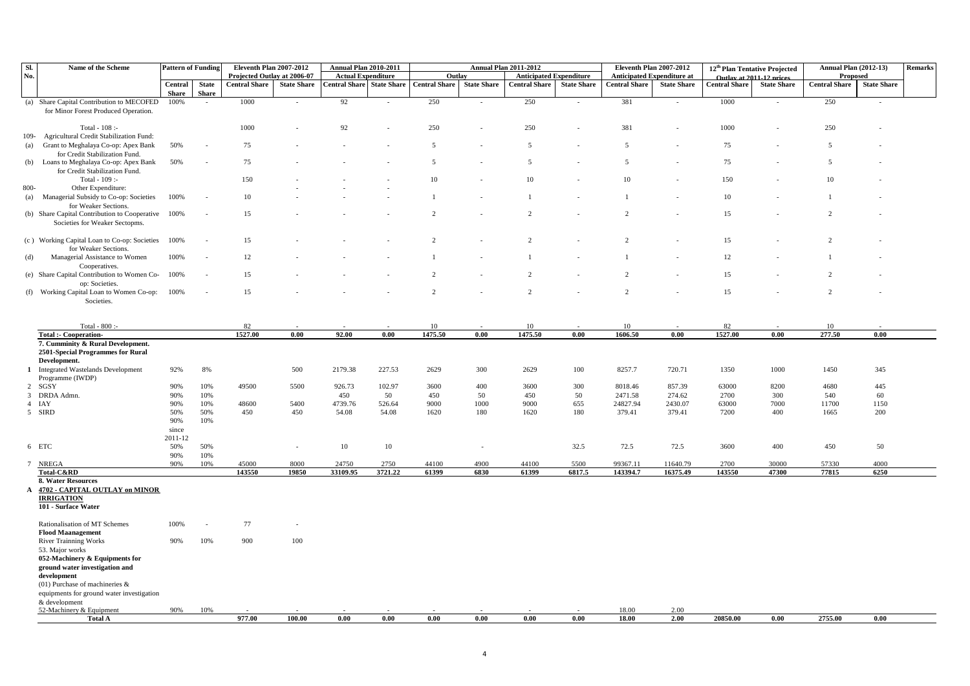| SI.          | Name of the Scheme                                                                   | <b>Pattern of Funding</b> |                          | Eleventh Plan 2007-2012     |                    | <b>Annual Plan 2010-2011</b>     |         |                      |                    | <b>Annual Plan 2011-2012</b>   |                    | Eleventh Plan 2007-2012           |                    | 12 <sup>th</sup> Plan Tentative Projected |                    | <b>Annual Plan (2012-13)</b> |                    | Remarks |
|--------------|--------------------------------------------------------------------------------------|---------------------------|--------------------------|-----------------------------|--------------------|----------------------------------|---------|----------------------|--------------------|--------------------------------|--------------------|-----------------------------------|--------------------|-------------------------------------------|--------------------|------------------------------|--------------------|---------|
| No.          |                                                                                      |                           |                          | Projected Outlay at 2006-07 |                    | <b>Actual Expenditure</b>        |         | Outlay               |                    | <b>Anticipated Expenditure</b> |                    | <b>Anticipated Expenditure at</b> |                    | Outlay at 2011-12 prices                  |                    | Proposed                     |                    |         |
|              |                                                                                      | Central                   | <b>State</b>             | <b>Central Share</b>        | <b>State Share</b> | <b>Central Share State Share</b> |         | <b>Central Share</b> | <b>State Share</b> | <b>Central Share</b>           | <b>State Share</b> | <b>Central Share</b>              | <b>State Share</b> | <b>Central Share</b>                      | <b>State Share</b> | <b>Central Share</b>         | <b>State Share</b> |         |
|              | (a) Share Capital Contribution to MECOFED                                            | <b>Share</b><br>100%      | <b>Share</b><br>$\sim$   | 1000                        |                    | 92                               |         | 250                  |                    | 250                            |                    | 381                               | $\sim$             | 1000                                      |                    | 250                          | $\sim$             |         |
|              | for Minor Forest Produced Operation.                                                 |                           |                          |                             |                    |                                  |         |                      |                    |                                |                    |                                   |                    |                                           |                    |                              |                    |         |
|              |                                                                                      |                           |                          |                             |                    |                                  |         |                      |                    |                                |                    |                                   |                    |                                           |                    |                              |                    |         |
|              | Total - $108$ :                                                                      |                           |                          | 1000                        |                    | 92                               |         | 250                  |                    | 250                            |                    | 381                               | $\sim$             | 1000                                      |                    | 250                          |                    |         |
| $109 -$      | Agricultural Credit Stabilization Fund:                                              |                           |                          |                             |                    |                                  |         |                      |                    |                                |                    |                                   |                    |                                           |                    |                              |                    |         |
| (a)          | Grant to Meghalaya Co-op: Apex Bank                                                  | 50%                       |                          | 75                          |                    |                                  |         | .5                   |                    | 5                              |                    | 5                                 |                    | 75                                        |                    | 5                            |                    |         |
|              | for Credit Stabilization Fund.<br>(b) Loans to Meghalaya Co-op: Apex Bank            | 50%                       |                          | 75                          |                    |                                  |         | 5                    |                    | $\overline{5}$                 |                    | 5                                 |                    | 75                                        |                    | $\overline{5}$               |                    |         |
|              | for Credit Stabilization Fund.                                                       |                           |                          |                             |                    |                                  |         |                      |                    |                                |                    |                                   |                    |                                           |                    |                              |                    |         |
|              | Total - 109 :-                                                                       |                           |                          | 150                         |                    |                                  |         | 10                   |                    | 10                             |                    | 10                                |                    | 150                                       |                    | 10                           |                    |         |
| 800-         | Other Expenditure:                                                                   |                           |                          |                             |                    |                                  |         |                      |                    |                                |                    |                                   |                    |                                           |                    |                              |                    |         |
|              | (a) Managerial Subsidy to Co-op: Societies                                           | 100%                      |                          | 10                          |                    |                                  |         |                      |                    | $\overline{1}$                 |                    | $\overline{1}$                    |                    | 10                                        |                    | $\overline{1}$               |                    |         |
|              | for Weaker Sections.                                                                 |                           |                          | 15                          |                    |                                  |         | $\overline{2}$       |                    | $\mathcal{L}$                  |                    | $\overline{2}$                    |                    |                                           |                    | $\mathfrak{D}$               |                    |         |
|              | (b) Share Capital Contribution to Cooperative 100%<br>Societies for Weaker Sectopms. |                           |                          |                             |                    |                                  |         |                      |                    |                                |                    |                                   |                    | 15                                        |                    |                              |                    |         |
|              |                                                                                      |                           |                          |                             |                    |                                  |         |                      |                    |                                |                    |                                   |                    |                                           |                    |                              |                    |         |
|              | (c) Working Capital Loan to Co-op: Societies 100%                                    |                           |                          | 15                          |                    |                                  |         | $\overline{2}$       |                    | $\overline{2}$                 |                    | $\overline{2}$                    |                    | 15                                        |                    | 2                            |                    |         |
|              | for Weaker Sections.                                                                 |                           |                          |                             |                    |                                  |         |                      |                    |                                |                    |                                   |                    |                                           |                    |                              |                    |         |
| (d)          | Managerial Assistance to Women                                                       | 100%                      |                          | 12                          |                    |                                  |         |                      |                    |                                |                    |                                   |                    | 12                                        |                    |                              |                    |         |
|              | Cooperatives.<br>(e) Share Capital Contribution to Women Co-                         | 100%                      | $\overline{\phantom{a}}$ | 15                          |                    |                                  |         | $\overline{2}$       |                    | $\overline{2}$                 |                    | $\overline{2}$                    |                    | 15                                        |                    | $\overline{2}$               |                    |         |
|              | op: Societies                                                                        |                           |                          |                             |                    |                                  |         |                      |                    |                                |                    |                                   |                    |                                           |                    |                              |                    |         |
|              | (f) Working Capital Loan to Women Co-op:                                             | 100%                      |                          | 15                          |                    |                                  |         | $\overline{2}$       |                    | $\overline{2}$                 |                    | $\overline{2}$                    |                    | 15                                        |                    | $\overline{2}$               |                    |         |
|              | Societies.                                                                           |                           |                          |                             |                    |                                  |         |                      |                    |                                |                    |                                   |                    |                                           |                    |                              |                    |         |
|              |                                                                                      |                           |                          |                             |                    |                                  |         |                      |                    |                                |                    |                                   |                    |                                           |                    |                              |                    |         |
|              | Total - 800 :                                                                        |                           |                          | 82                          |                    |                                  |         | 10                   |                    | 10                             |                    | 10                                |                    | 82                                        |                    | 10                           |                    |         |
|              | <b>Total :- Cooperation-</b>                                                         |                           |                          | 1527.00                     | 0.00               | 92.00                            | 0.00    | 1475.50              | 0.00               | 1475.50                        | 0.00               | 1606.50                           | 0.00               | 1527.00                                   | 0.00               | 277.50                       | 0.00               |         |
|              | 7. Cumminity & Rural Development.                                                    |                           |                          |                             |                    |                                  |         |                      |                    |                                |                    |                                   |                    |                                           |                    |                              |                    |         |
|              | 2501-Special Programmes for Rural                                                    |                           |                          |                             |                    |                                  |         |                      |                    |                                |                    |                                   |                    |                                           |                    |                              |                    |         |
|              | Development.                                                                         |                           |                          |                             |                    |                                  |         |                      |                    |                                |                    |                                   |                    |                                           |                    |                              |                    |         |
|              | 1 Integrated Wastelands Development<br>Programme (IWDP)                              | 92%                       | 8%                       |                             | 500                | 2179.38                          | 227.53  | 2629                 | 300                | 2629                           | 100                | 8257.7                            | 720.71             | 1350                                      | 1000               | 1450                         | 345                |         |
|              | 2 SGSY                                                                               | 90%                       | 10%                      | 49500                       | 5500               | 926.73                           | 102.97  | 3600                 | 400                | 3600                           | 300                | 8018.46                           | 857.39             | 63000                                     | 8200               | 4680                         | 445                |         |
|              | 3 DRDA Admn.                                                                         | 90%                       | 10%                      |                             |                    | 450                              | 50      | 450                  | 50                 | 450                            | 50                 | 2471.58                           | 274.62             | 2700                                      | 300                | 540                          | 60                 |         |
|              | 4 IAY                                                                                | 90%                       | 10%                      | 48600                       | 5400               | 4739.76                          | 526.64  | 9000                 | 1000               | 9000                           | 655                | 24827.94                          | 2430.07            | 63000                                     | 7000               | 11700                        | 1150               |         |
|              | 5 SIRD                                                                               | 50%                       | 50%                      | 450                         | 450                | 54.08                            | 54.08   | 1620                 | 180                | 1620                           | 180                | 379.41                            | 379.41             | 7200                                      | 400                | 1665                         | 200                |         |
|              |                                                                                      | 90%                       | 10%                      |                             |                    |                                  |         |                      |                    |                                |                    |                                   |                    |                                           |                    |                              |                    |         |
|              |                                                                                      | since<br>2011-12          |                          |                             |                    |                                  |         |                      |                    |                                |                    |                                   |                    |                                           |                    |                              |                    |         |
|              | 6 ETC                                                                                | 50%                       | 50%                      |                             | $\sim$             | 10                               | $10\,$  |                      | ÷                  |                                | 32.5               | 72.5                              | 72.5               | 3600                                      | 400                | 450                          | 50                 |         |
|              |                                                                                      | 90%                       | 10%                      |                             |                    |                                  |         |                      |                    |                                |                    |                                   |                    |                                           |                    |                              |                    |         |
|              | 7 NREGA                                                                              | 90%                       | 10%                      | 45000                       | 8000               | 24750                            | 2750    | 44100                | 4900               | 44100                          | 5500               | 99367.11                          | 11640.79           | 2700                                      | 30000              | 57330                        | 4000               |         |
|              | Total-C&RD<br><b>8. Water Resources</b>                                              |                           |                          | 143550                      | 19850              | 33109.95                         | 3721.22 | 61399                | 6830               | 61399                          | 6817.5             | 143394.7                          | 16375.49           | 143550                                    | 47300              | 77815                        | 6250               |         |
| $\mathbf{A}$ | 4702 - CAPITAL OUTLAY on MINOR                                                       |                           |                          |                             |                    |                                  |         |                      |                    |                                |                    |                                   |                    |                                           |                    |                              |                    |         |
|              | <b>IRRIGATION</b>                                                                    |                           |                          |                             |                    |                                  |         |                      |                    |                                |                    |                                   |                    |                                           |                    |                              |                    |         |
|              | 101 - Surface Water                                                                  |                           |                          |                             |                    |                                  |         |                      |                    |                                |                    |                                   |                    |                                           |                    |                              |                    |         |
|              |                                                                                      |                           |                          |                             |                    |                                  |         |                      |                    |                                |                    |                                   |                    |                                           |                    |                              |                    |         |
|              | Rationalisation of MT Schemes<br><b>Flood Maanagement</b>                            | 100%                      |                          | 77                          |                    |                                  |         |                      |                    |                                |                    |                                   |                    |                                           |                    |                              |                    |         |
|              | <b>River Trainning Works</b>                                                         | 90%                       | 10%                      | 900                         | 100                |                                  |         |                      |                    |                                |                    |                                   |                    |                                           |                    |                              |                    |         |
|              | 53. Major works                                                                      |                           |                          |                             |                    |                                  |         |                      |                    |                                |                    |                                   |                    |                                           |                    |                              |                    |         |
|              | 052-Machinery & Equipments for                                                       |                           |                          |                             |                    |                                  |         |                      |                    |                                |                    |                                   |                    |                                           |                    |                              |                    |         |
|              | ground water investigation and                                                       |                           |                          |                             |                    |                                  |         |                      |                    |                                |                    |                                   |                    |                                           |                    |                              |                    |         |
|              | development                                                                          |                           |                          |                             |                    |                                  |         |                      |                    |                                |                    |                                   |                    |                                           |                    |                              |                    |         |
|              | $(01)$ Purchase of machineries &<br>equipments for ground water investigation        |                           |                          |                             |                    |                                  |         |                      |                    |                                |                    |                                   |                    |                                           |                    |                              |                    |         |
|              | & development                                                                        |                           |                          |                             |                    |                                  |         |                      |                    |                                |                    |                                   |                    |                                           |                    |                              |                    |         |
|              | 52-Machinery & Equipment                                                             | 90%                       | 10%                      |                             |                    |                                  |         |                      |                    |                                |                    | 18.00                             | 2.00               |                                           |                    |                              |                    |         |
|              | <b>Total A</b>                                                                       |                           |                          | 977.00                      | 100.00             | 0.00                             | 0.00    | 0.00                 | 0.00               | 0.00                           | 0.00               | 18.00                             | 2.00               | 20850.00                                  | 0.00               | 2755.00                      | 0.00               |         |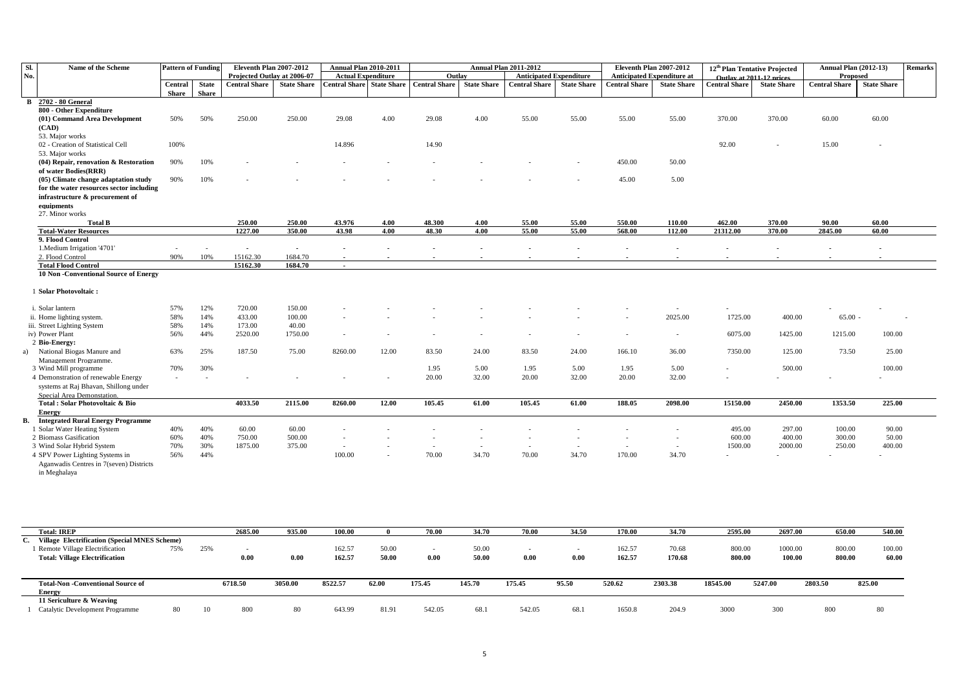| Sl. | Name of the Scheme                               | <b>Pattern of Funding</b>       |              | Eleventh Plan 2007-2012              |                    | <b>Annual Plan 2010-2011</b> |                    |                      |                          | <b>Annual Plan 2011-2012</b>   |                    | Eleventh Plan 2007-2012           |                          | 12 <sup>th</sup> Plan Tentative Projected |                    | <b>Annual Plan (2012-13)</b> |                    | Remarks |
|-----|--------------------------------------------------|---------------------------------|--------------|--------------------------------------|--------------------|------------------------------|--------------------|----------------------|--------------------------|--------------------------------|--------------------|-----------------------------------|--------------------------|-------------------------------------------|--------------------|------------------------------|--------------------|---------|
| No. |                                                  |                                 |              | Projected Outlav at 2006-07          |                    | <b>Actual Expenditure</b>    |                    | Outlav               |                          | <b>Anticipated Expenditure</b> |                    | <b>Anticipated Expenditure at</b> |                          | Outlay at 2011-12 prices                  |                    | Proposed                     |                    |         |
|     |                                                  | Central                         | <b>State</b> | <b>Central Share</b>                 | <b>State Share</b> | <b>Central Share</b>         | <b>State Share</b> | <b>Central Share</b> | <b>State Share</b>       | <b>Central Share</b>           | <b>State Share</b> | <b>Central Share</b>              | <b>State Share</b>       | <b>Central Share</b>                      | <b>State Share</b> | <b>Central Share</b>         | <b>State Share</b> |         |
|     |                                                  | <b>Share</b>                    | <b>Share</b> |                                      |                    |                              |                    |                      |                          |                                |                    |                                   |                          |                                           |                    |                              |                    |         |
|     | <b>B</b> 2702 - 80 General                       |                                 |              |                                      |                    |                              |                    |                      |                          |                                |                    |                                   |                          |                                           |                    |                              |                    |         |
|     | 800 - Other Expenditure                          |                                 |              |                                      |                    |                              |                    |                      |                          |                                |                    |                                   |                          |                                           |                    |                              |                    |         |
|     | (01) Command Area Development                    | 50%                             | 50%          | 250.00                               | 250.00             | 29.08                        | 4.00               | 29.08                | 4.00                     | 55.00                          | 55.00              | 55.00                             | 55.00                    | 370.00                                    | 370.00             | 60.00                        | 60.00              |         |
|     | (CAD)                                            |                                 |              |                                      |                    |                              |                    |                      |                          |                                |                    |                                   |                          |                                           |                    |                              |                    |         |
|     | 53. Major works                                  |                                 |              |                                      |                    |                              |                    |                      |                          |                                |                    |                                   |                          |                                           |                    |                              |                    |         |
|     | 02 - Creation of Statistical Cell                | 100%                            |              |                                      |                    | 14.896                       |                    | 14.90                |                          |                                |                    |                                   |                          | 92.00                                     |                    | 15.00                        |                    |         |
|     | 53. Major works                                  |                                 |              |                                      |                    |                              |                    |                      |                          |                                |                    |                                   |                          |                                           |                    |                              |                    |         |
|     | (04) Repair, renovation & Restoration            | 90%                             | 10%          |                                      |                    |                              |                    |                      |                          |                                |                    | 450.00                            | 50.00                    |                                           |                    |                              |                    |         |
|     | of water Bodies(RRR)                             |                                 |              |                                      |                    |                              |                    |                      |                          |                                |                    |                                   |                          |                                           |                    |                              |                    |         |
|     | (05) Climate change adaptation study             | 90%                             | 10%          |                                      |                    |                              |                    |                      |                          |                                |                    | 45.00                             | 5.00                     |                                           |                    |                              |                    |         |
|     | for the water resources sector including         |                                 |              |                                      |                    |                              |                    |                      |                          |                                |                    |                                   |                          |                                           |                    |                              |                    |         |
|     | infrastructure & procurement of                  |                                 |              |                                      |                    |                              |                    |                      |                          |                                |                    |                                   |                          |                                           |                    |                              |                    |         |
|     | equipments                                       |                                 |              |                                      |                    |                              |                    |                      |                          |                                |                    |                                   |                          |                                           |                    |                              |                    |         |
|     | 27. Minor works                                  |                                 |              |                                      |                    |                              |                    |                      |                          |                                |                    |                                   |                          |                                           |                    |                              |                    |         |
|     | <b>Total B</b>                                   |                                 |              | 250.00                               | 250.00             | 43.976                       | 4.00               | 48.300               | 4.00<br>4.00             | 55.00                          | 55.00              | 550.00<br>568.00                  | 110.00                   | 462.00                                    | 370.00<br>370.00   | 90.00                        | 60.00              |         |
|     | <b>Total-Water Resources</b><br>9. Flood Control |                                 |              | 1227.00                              | 350.00             | 43.98                        | 4.00               | 48.30                |                          | 55.00                          | 55.00              |                                   | 112.00                   | 21312.00                                  |                    | 2845.00                      | 60.00              |         |
|     | 1. Medium Irrigation '4701'                      |                                 |              |                                      |                    |                              |                    |                      |                          |                                |                    |                                   |                          |                                           |                    |                              |                    |         |
|     | 2. Flood Control                                 | $\overline{\phantom{a}}$<br>90% | 10%          | $\overline{\phantom{a}}$<br>15162.30 | $\sim$<br>1684.70  | $\overline{\phantom{a}}$     |                    |                      |                          |                                |                    |                                   |                          |                                           |                    |                              |                    |         |
|     | <b>Total Flood Control</b>                       |                                 |              | 15162.30                             | 1684.70            | $\blacksquare$               |                    |                      |                          |                                |                    |                                   |                          |                                           |                    |                              |                    |         |
|     | <b>10 Non-Conventional Source of Energy</b>      |                                 |              |                                      |                    |                              |                    |                      |                          |                                |                    |                                   |                          |                                           |                    |                              |                    |         |
|     |                                                  |                                 |              |                                      |                    |                              |                    |                      |                          |                                |                    |                                   |                          |                                           |                    |                              |                    |         |
|     | 1 Solar Photovoltaic:                            |                                 |              |                                      |                    |                              |                    |                      |                          |                                |                    |                                   |                          |                                           |                    |                              |                    |         |
|     |                                                  |                                 |              |                                      |                    |                              |                    |                      |                          |                                |                    |                                   |                          |                                           |                    |                              |                    |         |
|     | i. Solar lantern                                 | 57%                             | 12%          | 720.00                               | 150.00             |                              |                    |                      |                          |                                |                    |                                   | $\sim$                   |                                           |                    |                              |                    |         |
|     | ii. Home lighting system.                        | 58%                             | 14%          | 433.00                               | 100.00             |                              |                    |                      |                          |                                |                    |                                   | 2025.00                  | 1725.00                                   | 400.00             | 65.00                        |                    |         |
|     | iii. Street Lighting System                      | 58%                             | 14%          | 173.00                               | 40.00              |                              |                    |                      |                          |                                |                    |                                   |                          |                                           |                    |                              |                    |         |
|     | iv) Power Plant                                  | 56%                             | 44%          | 2520.00                              | 1750.00            | $\overline{\phantom{a}}$     |                    |                      | ٠                        |                                |                    |                                   | $\overline{\phantom{a}}$ | 6075.00                                   | 1425.00            | 1215.00                      | 100.00             |         |
|     | 2 Bio-Energy:                                    |                                 |              |                                      |                    |                              |                    |                      |                          |                                |                    |                                   |                          |                                           |                    |                              |                    |         |
|     | a) National Biogas Manure and                    | 63%                             | 25%          | 187.50                               | 75.00              | 8260.00                      | 12.00              | 83.50                | 24.00                    | 83.50                          | 24.00              | 166.10                            | 36.00                    | 7350.00                                   | 125.00             | 73.50                        | 25.00              |         |
|     | Management Programme.                            |                                 |              |                                      |                    |                              |                    |                      |                          |                                |                    |                                   |                          |                                           |                    |                              |                    |         |
|     | 3 Wind Mill programme                            | 70%                             | 30%          |                                      |                    |                              |                    | 1.95                 | 5.00                     | 1.95                           | 5.00               | 1.95                              | 5.00                     |                                           | 500.00             |                              | 100.00             |         |
|     | 4 Demonstration of renewable Energy              |                                 |              |                                      |                    |                              |                    | 20.00                | 32.00                    | 20.00                          | 32.00              | 20.00                             | 32.00                    |                                           |                    |                              |                    |         |
|     | systems at Raj Bhavan, Shillong under            |                                 |              |                                      |                    |                              |                    |                      |                          |                                |                    |                                   |                          |                                           |                    |                              |                    |         |
|     | Special Area Demonstation.                       |                                 |              |                                      |                    |                              |                    |                      |                          |                                |                    |                                   |                          |                                           |                    |                              |                    |         |
|     | Total : Solar Photovoltaic & Bio                 |                                 |              | 4033.50                              | 2115.00            | 8260.00                      | 12.00              | 105.45               | 61.00                    | 105.45                         | 61.00              | 188.05                            | 2098.00                  | 15150.00                                  | 2450.00            | 1353.50                      | 225.00             |         |
|     | Energy                                           |                                 |              |                                      |                    |                              |                    |                      |                          |                                |                    |                                   |                          |                                           |                    |                              |                    |         |
|     | <b>B.</b> Integrated Rural Energy Programme      |                                 |              |                                      |                    |                              |                    |                      |                          |                                |                    |                                   |                          |                                           |                    |                              |                    |         |
|     | 1 Solar Water Heating System                     | 40%                             | 40%          | 60.00                                | 60.00              |                              |                    |                      |                          |                                |                    |                                   |                          | 495.00                                    | 297.00             | 100.00                       | 90.00              |         |
|     | 2 Biomass Gasification                           | 60%                             | 40%          | 750.00                               | 500.00             |                              |                    |                      |                          |                                |                    |                                   | $\overline{\phantom{a}}$ | 600.00                                    | 400.00             | 300.00                       | 50.00              |         |
|     | 3 Wind Solar Hybrid System                       | 70%                             | 30%          | 1875.00                              | 375.00             | $\sim$                       |                    | $\sim$               | $\overline{\phantom{a}}$ | $\overline{\phantom{a}}$       | $\sim$             | $\sim$                            | $\sim$                   | 1500.00                                   | 2000.00            | 250.00                       | 400.00             |         |
|     | 4 SPV Power Lighting Systems in                  | 56%                             | 44%          |                                      |                    | 100.00                       |                    | 70.00                | 34.70                    | 70.00                          | 34.70              | 170.00                            | 34.70                    |                                           |                    |                              |                    |         |
|     | Aganwadis Centres in 7(seven) Districts          |                                 |              |                                      |                    |                              |                    |                      |                          |                                |                    |                                   |                          |                                           |                    |                              |                    |         |
|     | in Meghalaya                                     |                                 |              |                                      |                    |                              |                    |                      |                          |                                |                    |                                   |                          |                                           |                    |                              |                    |         |

| <b>Total: IREP</b>                               |     | 2685.00 | 935.00  | 100.00  |       | 70.00  | 34.70  | 70.00  | 34.50 | 170.00 | 34.70   | 2595.00  | 2697.00 | 650.00  | 540.00 |
|--------------------------------------------------|-----|---------|---------|---------|-------|--------|--------|--------|-------|--------|---------|----------|---------|---------|--------|
| C. Village Electrification (Special MNES Scheme) |     |         |         |         |       |        |        |        |       |        |         |          |         |         |        |
| 1 Remote Village Electrification<br>75%          | 25% |         |         | 162.57  | 50.00 |        | 50.00  |        |       | 162.57 | 70.68   | 800.00   | 1000.00 | 800.00  | 100.00 |
| <b>Total: Village Electrification</b>            |     | 0.00    | 0.00    | 162.57  | 50.00 | 0.00   | 50.00  | 0.00   | 0.00  | 162.57 | 170.68  | 800.00   | 100.00  | 800.00  | 60.00  |
|                                                  |     |         |         |         |       |        |        |        |       |        |         |          |         |         |        |
|                                                  |     |         |         |         |       |        |        |        |       |        |         |          |         |         |        |
| <b>Total-Non-Conventional Source of</b>          |     | 6718.50 | 3050.00 | 8522.57 | 62.00 | 175.45 | 145.70 | 175.45 | 95.50 | 520.62 | 2303.38 | 18545.00 | 5247.00 | 2803.50 | 825.00 |
| <b>Energy</b>                                    |     |         |         |         |       |        |        |        |       |        |         |          |         |         |        |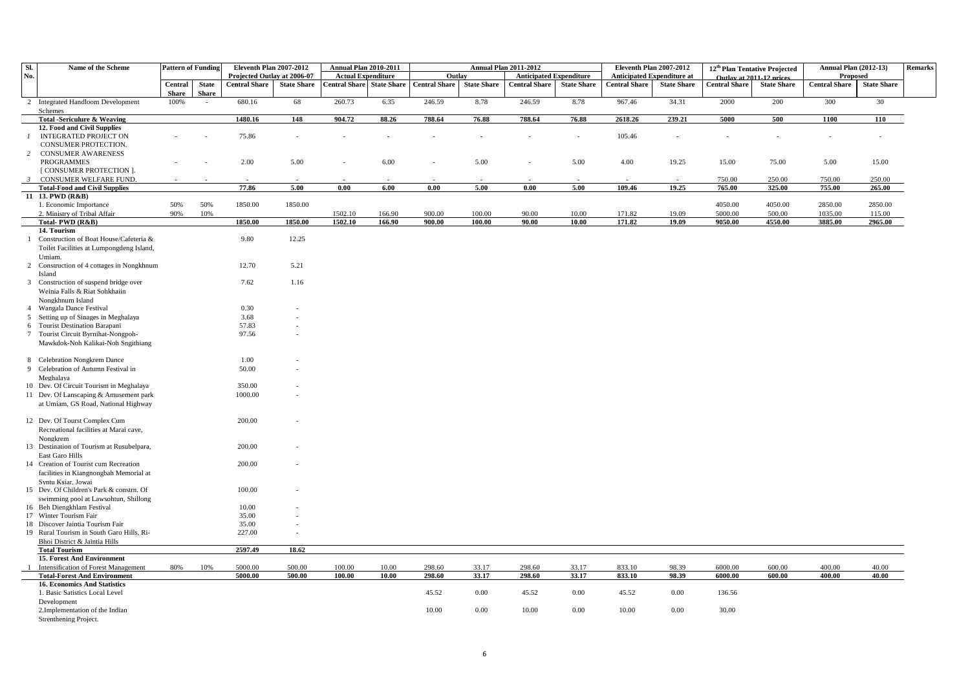| Sl.            | Name of the Scheme                                                            | <b>Pattern of Funding</b> |                        | Eleventh Plan 2007-2012     |                    | <b>Annual Plan 2010-2011</b> |                    |                      |                    | <b>Annual Plan 2011-2012</b>   |                    | Eleventh Plan 2007-2012           |                    |                          | 12 <sup>th</sup> Plan Tentative Projected | <b>Annual Plan (2012-13)</b> |                    | <b>Remarks</b> |
|----------------|-------------------------------------------------------------------------------|---------------------------|------------------------|-----------------------------|--------------------|------------------------------|--------------------|----------------------|--------------------|--------------------------------|--------------------|-----------------------------------|--------------------|--------------------------|-------------------------------------------|------------------------------|--------------------|----------------|
| No.            |                                                                               |                           |                        | Projected Outlay at 2006-07 |                    | <b>Actual Expenditure</b>    |                    | Outlay               |                    | <b>Anticipated Expenditure</b> |                    | <b>Anticipated Expenditure at</b> |                    | Outlay at 2011-12 prices |                                           | Proposed                     |                    |                |
|                |                                                                               | Central                   | <b>State</b>           | <b>Central Share</b>        | <b>State Share</b> | <b>Central Share</b>         | <b>State Share</b> | <b>Central Share</b> | <b>State Share</b> | <b>Central Share</b>           | <b>State Share</b> | <b>Central Share</b>              | <b>State Share</b> | <b>Central Share</b>     | <b>State Share</b>                        | <b>Central Share</b>         | <b>State Share</b> |                |
|                | 2 Integrated Handloom Development                                             | <b>Share</b><br>100%      | <b>Share</b><br>$\sim$ | 680.16                      | 68                 | 260.73                       | 6.35               | 246.59               | 8.78               | 246.59                         | 8.78               | 967.46                            | 34.31              | 2000                     | 200                                       | 300                          | 30                 |                |
|                | Schemes                                                                       |                           |                        |                             |                    |                              |                    |                      |                    |                                |                    |                                   |                    |                          |                                           |                              |                    |                |
|                | <b>Total -Sericulure &amp; Weaving</b>                                        |                           |                        | 1480.16                     | 148                | 904.72                       | 88.26              | 788.64               | 76.88              | 788.64                         | 76.88              | 2618.26                           | 239.21             | 5000                     | 500                                       | 1100                         | 110                |                |
|                | 12. Food and Civil Supplies                                                   |                           |                        |                             |                    |                              |                    |                      |                    |                                |                    |                                   |                    |                          |                                           |                              |                    |                |
| $\mathcal{I}$  | <b>INTEGRATED PROJECT ON</b>                                                  |                           |                        | 75.86                       |                    |                              |                    |                      |                    |                                | $\overline{a}$     | 105.46                            | $\overline{a}$     |                          |                                           | $\overline{a}$               |                    |                |
| 2              | CONSUMER PROTECTION.                                                          |                           |                        |                             |                    |                              |                    |                      |                    |                                |                    |                                   |                    |                          |                                           |                              |                    |                |
|                | <b>CONSUMER AWARENESS</b><br><b>PROGRAMMES</b>                                |                           |                        | 2.00                        | 5.00               |                              | 6.00               |                      | 5.00               |                                | 5.00               | 4.00                              | 19.25              | 15.00                    | 75.00                                     | 5.00                         | 15.00              |                |
|                | <b>[ CONSUMER PROTECTION ].</b>                                               |                           |                        |                             |                    |                              |                    |                      |                    |                                |                    |                                   |                    |                          |                                           |                              |                    |                |
| $\mathbf{3}$   | CONSUMER WELFARE FUND.                                                        |                           |                        |                             |                    |                              |                    |                      |                    |                                |                    |                                   |                    | 750.00                   | 250.00                                    | 750.00                       | 250.00             |                |
|                | <b>Total-Food and Civil Supplies</b>                                          |                           |                        | 77.86                       | 5.00               | 0.00                         | 6.00               | 0.00                 | 5.00               | 0.00                           | 5.00               | 109.46                            | 19.25              | 765.00                   | 325.00                                    | 755.00                       | 265.00             |                |
|                | 11 13. PWD (R&B)                                                              |                           |                        |                             |                    |                              |                    |                      |                    |                                |                    |                                   |                    |                          |                                           |                              |                    |                |
|                | 1. Economic Importance<br>2. Ministry of Tribal Affair                        | 50%<br>90%                | 50%<br>10%             | 1850.00                     | 1850.00            | 1502.10                      | 166.90             | 900.00               | 100.00             | 90.00                          | 10.00              | 171.82                            | 19.09              | 4050.00<br>5000.00       | 4050.00<br>500.00                         | 2850.00<br>1035.00           | 2850.00<br>115.00  |                |
|                | Total-PWD (R&B)                                                               |                           |                        | 1850.00                     | 1850.00            | 1502.10                      | 166.90             | 900.00               | 100.00             | 90.00                          | 10.00              | 171.82                            | 19.09              | 9050.00                  | 4550.00                                   | 3885.00                      | 2965.00            |                |
|                | 14. Tourism                                                                   |                           |                        |                             |                    |                              |                    |                      |                    |                                |                    |                                   |                    |                          |                                           |                              |                    |                |
| $\mathbf{1}$   | Construction of Boat House/Cafeteria &                                        |                           |                        | 9.80                        | 12.25              |                              |                    |                      |                    |                                |                    |                                   |                    |                          |                                           |                              |                    |                |
|                | Toilet Facilities at Lumpongdeng Island,                                      |                           |                        |                             |                    |                              |                    |                      |                    |                                |                    |                                   |                    |                          |                                           |                              |                    |                |
|                | Umiam.                                                                        |                           |                        |                             |                    |                              |                    |                      |                    |                                |                    |                                   |                    |                          |                                           |                              |                    |                |
|                | 2 Construction of 4 cottages in Nongkhnum                                     |                           |                        | 12.70                       | 5.21               |                              |                    |                      |                    |                                |                    |                                   |                    |                          |                                           |                              |                    |                |
|                | Island<br>3 Construction of suspend bridge over                               |                           |                        | 7.62                        | 1.16               |                              |                    |                      |                    |                                |                    |                                   |                    |                          |                                           |                              |                    |                |
|                | Weinia Falls & Riat Sohkhaiin                                                 |                           |                        |                             |                    |                              |                    |                      |                    |                                |                    |                                   |                    |                          |                                           |                              |                    |                |
|                | Nongkhnum Island                                                              |                           |                        |                             |                    |                              |                    |                      |                    |                                |                    |                                   |                    |                          |                                           |                              |                    |                |
|                | Wangala Dance Festival                                                        |                           |                        | 0.30                        |                    |                              |                    |                      |                    |                                |                    |                                   |                    |                          |                                           |                              |                    |                |
| 5              | Setting up of Sinages in Meghalaya                                            |                           |                        | 3.68                        |                    |                              |                    |                      |                    |                                |                    |                                   |                    |                          |                                           |                              |                    |                |
|                | 6 Tourist Destination Barapani                                                |                           |                        | 57.83                       |                    |                              |                    |                      |                    |                                |                    |                                   |                    |                          |                                           |                              |                    |                |
|                | 7 Tourist Circuit Byrnihat-Nongpoh-<br>Mawkdok-Noh Kalikai-Noh Sngithiang     |                           |                        | 97.56                       |                    |                              |                    |                      |                    |                                |                    |                                   |                    |                          |                                           |                              |                    |                |
|                |                                                                               |                           |                        |                             |                    |                              |                    |                      |                    |                                |                    |                                   |                    |                          |                                           |                              |                    |                |
|                | 8 Celebration Nongkrem Dance                                                  |                           |                        | 1.00                        |                    |                              |                    |                      |                    |                                |                    |                                   |                    |                          |                                           |                              |                    |                |
|                | 9 Celebration of Autumn Festival in                                           |                           |                        | 50.00                       |                    |                              |                    |                      |                    |                                |                    |                                   |                    |                          |                                           |                              |                    |                |
|                | Meghalaya                                                                     |                           |                        |                             |                    |                              |                    |                      |                    |                                |                    |                                   |                    |                          |                                           |                              |                    |                |
|                | 10 Dev. Of Circuit Tourism in Meghalaya                                       |                           |                        | 350.00                      |                    |                              |                    |                      |                    |                                |                    |                                   |                    |                          |                                           |                              |                    |                |
|                | 11 Dev. Of Lanscaping & Amusement park<br>at Umiam, GS Road, National Highway |                           |                        | 1000.00                     |                    |                              |                    |                      |                    |                                |                    |                                   |                    |                          |                                           |                              |                    |                |
|                |                                                                               |                           |                        |                             |                    |                              |                    |                      |                    |                                |                    |                                   |                    |                          |                                           |                              |                    |                |
|                | 12 Dev. Of Tourst Complex Cum                                                 |                           |                        | 200.00                      |                    |                              |                    |                      |                    |                                |                    |                                   |                    |                          |                                           |                              |                    |                |
|                | Recreational facilities at Marai cave,                                        |                           |                        |                             |                    |                              |                    |                      |                    |                                |                    |                                   |                    |                          |                                           |                              |                    |                |
|                | Nongkrem                                                                      |                           |                        |                             |                    |                              |                    |                      |                    |                                |                    |                                   |                    |                          |                                           |                              |                    |                |
|                | 13 Destination of Tourism at Rusubelpara,<br>East Garo Hills                  |                           |                        | 200.00                      |                    |                              |                    |                      |                    |                                |                    |                                   |                    |                          |                                           |                              |                    |                |
|                | 14 Creation of Tourist cum Recreation                                         |                           |                        | 200.00                      |                    |                              |                    |                      |                    |                                |                    |                                   |                    |                          |                                           |                              |                    |                |
|                | facilities in Kiangnongbah Memorial at                                        |                           |                        |                             |                    |                              |                    |                      |                    |                                |                    |                                   |                    |                          |                                           |                              |                    |                |
|                | Syntu Ksiar, Jowai                                                            |                           |                        |                             |                    |                              |                    |                      |                    |                                |                    |                                   |                    |                          |                                           |                              |                    |                |
|                | 15 Dev. Of Children's Park & constrn. Of                                      |                           |                        | 100.00                      |                    |                              |                    |                      |                    |                                |                    |                                   |                    |                          |                                           |                              |                    |                |
|                | swimming pool at Lawsohtun, Shillong<br>16 Beh Diengkhlam Festival            |                           |                        | 10.00                       |                    |                              |                    |                      |                    |                                |                    |                                   |                    |                          |                                           |                              |                    |                |
|                | 17 Winter Tourism Fair                                                        |                           |                        | 35.00                       |                    |                              |                    |                      |                    |                                |                    |                                   |                    |                          |                                           |                              |                    |                |
|                | 18 Discover Jaintia Tourism Fair                                              |                           |                        | 35.00                       |                    |                              |                    |                      |                    |                                |                    |                                   |                    |                          |                                           |                              |                    |                |
|                | 19 Rural Tourism in South Garo Hills, Ri-                                     |                           |                        | 227.00                      |                    |                              |                    |                      |                    |                                |                    |                                   |                    |                          |                                           |                              |                    |                |
|                | Bhoi District & Jaintia Hills                                                 |                           |                        |                             |                    |                              |                    |                      |                    |                                |                    |                                   |                    |                          |                                           |                              |                    |                |
|                | <b>Total Tourism</b>                                                          |                           |                        | 2597.49                     | 18.62              |                              |                    |                      |                    |                                |                    |                                   |                    |                          |                                           |                              |                    |                |
| $\overline{1}$ | <b>15. Forest And Environment</b><br>Intensification of Forest Management     | 80%                       | 10%                    | 5000.00                     | 500.00             | 100.00                       | 10.00              | 298.60               | 33.17              | 298.60                         | 33.17              | 833.10                            | 98.39              | 6000.00                  | 600.00                                    | 400.00                       | 40.00              |                |
|                | <b>Total-Forest And Environment</b>                                           |                           |                        | 5000.00                     | 500.00             | 100.00                       | 10.00              | 298.60               | 33.17              | 298.60                         | 33.17              | 833.10                            | 98.39              | 6000.00                  | 600.00                                    | 400.00                       | 40.00              |                |
|                | <b>16. Economics And Statistics</b>                                           |                           |                        |                             |                    |                              |                    |                      |                    |                                |                    |                                   |                    |                          |                                           |                              |                    |                |
|                | 1. Basic Satistics Local Level                                                |                           |                        |                             |                    |                              |                    | 45.52                | 0.00               | 45.52                          | 0.00               | 45.52                             | 0.00               | 136.56                   |                                           |                              |                    |                |
|                | Development                                                                   |                           |                        |                             |                    |                              |                    |                      |                    |                                |                    |                                   |                    |                          |                                           |                              |                    |                |
|                | 2. Implementation of the Indian                                               |                           |                        |                             |                    |                              |                    | 10.00                | 0.00               | 10.00                          | 0.00               | 10.00                             | 0.00               | 30.00                    |                                           |                              |                    |                |
|                | Strenthening Project.                                                         |                           |                        |                             |                    |                              |                    |                      |                    |                                |                    |                                   |                    |                          |                                           |                              |                    |                |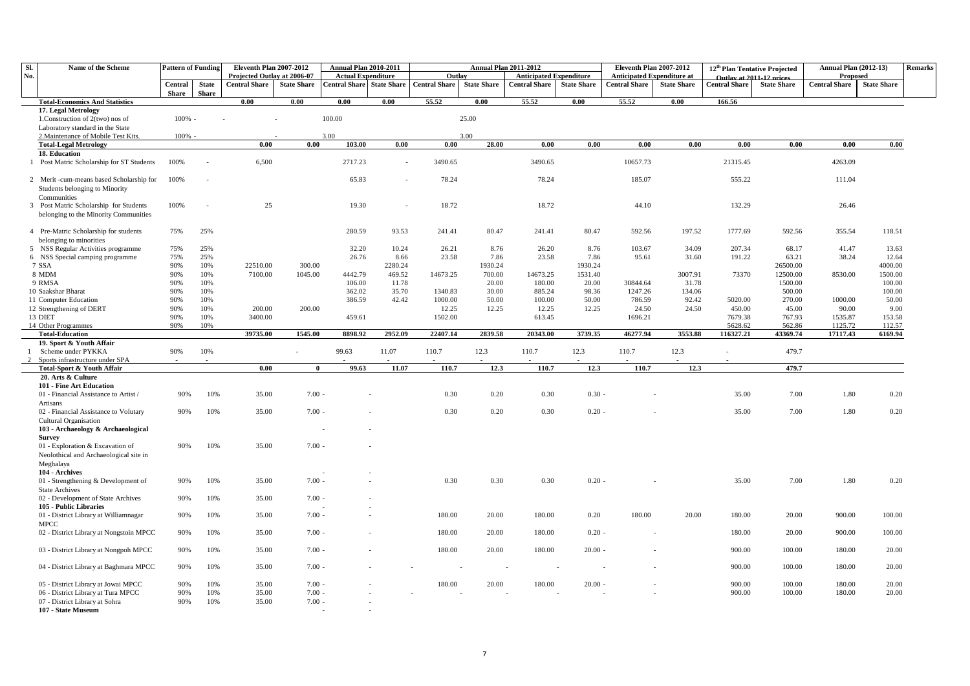| SI. | Name of the Scheme                                                                        | <b>Pattern of Funding</b> |                              | Eleventh Plan 2007-2012                             |                    | <b>Annual Plan 2010-2011</b>                      |                          |                                | <b>Annual Plan 2011-2012</b> |                                                        |                    | Eleventh Plan 2007-2012                                   |                    |                      | 12 <sup>th</sup> Plan Tentative Projected      | <b>Annual Plan (2012-13)</b>     |                    | <b>Remarks</b> |
|-----|-------------------------------------------------------------------------------------------|---------------------------|------------------------------|-----------------------------------------------------|--------------------|---------------------------------------------------|--------------------------|--------------------------------|------------------------------|--------------------------------------------------------|--------------------|-----------------------------------------------------------|--------------------|----------------------|------------------------------------------------|----------------------------------|--------------------|----------------|
| No. |                                                                                           | Central<br>Share          | <b>State</b><br><b>Share</b> | Projected Outlay at 2006-07<br><b>Central Share</b> | <b>State Share</b> | <b>Actual Expenditure</b><br><b>Central Share</b> | <b>State Share</b>       | Outlay<br><b>Central Share</b> | <b>State Share</b>           | <b>Anticipated Expenditure</b><br><b>Central Share</b> | <b>State Share</b> | <b>Anticipated Expenditure at</b><br><b>Central Share</b> | <b>State Share</b> | <b>Central Share</b> | Outlay at 2011-12 prices<br><b>State Share</b> | Proposed<br><b>Central Share</b> | <b>State Share</b> |                |
|     | <b>Total-Economics And Statistics</b>                                                     |                           |                              | 0.00                                                | 0.00               | 0.00                                              | 0.00                     | 55.52                          | 0.00                         | 55.52                                                  | 0.00               | 55.52                                                     | 0.00               | 166.56               |                                                |                                  |                    |                |
|     | 17. Legal Metrology<br>1. Construction of 2(two) nos of                                   | 100%                      |                              |                                                     |                    | 100.00                                            |                          |                                | 25.00                        |                                                        |                    |                                                           |                    |                      |                                                |                                  |                    |                |
|     | Laboratory standard in the State                                                          |                           |                              |                                                     |                    |                                                   |                          |                                |                              |                                                        |                    |                                                           |                    |                      |                                                |                                  |                    |                |
|     | 2. Maintenance of Mobile Test Kits.                                                       | $100\%$ -                 |                              |                                                     |                    | 3.00                                              |                          |                                | 3.00                         |                                                        |                    |                                                           |                    |                      |                                                |                                  |                    |                |
|     | <b>Total-Legal Metrology</b>                                                              |                           |                              | 0.00                                                | 0.00               | 103.00                                            | 0.00                     | 0.00                           | 28.00                        | 0.00                                                   | 0.00               | 0.00                                                      | 0.00               | $\overline{0.00}$    | 0.00                                           | 0.00                             | 0.00               |                |
|     | 18. Education                                                                             |                           |                              |                                                     |                    |                                                   |                          |                                |                              |                                                        |                    |                                                           |                    |                      |                                                |                                  |                    |                |
|     | 1 Post Matric Scholarship for ST Students                                                 | 100%                      |                              | 6,500                                               |                    | 2717.23                                           | $\overline{\phantom{a}}$ | 3490.65                        |                              | 3490.65                                                |                    | 10657.73                                                  |                    | 21315.45             |                                                | 4263.09                          |                    |                |
|     | 2 Merit -cum-means based Scholarship for<br>Students belonging to Minority<br>Communities | 100%                      |                              |                                                     |                    | 65.83                                             |                          | 78.24                          |                              | 78.24                                                  |                    | 185.07                                                    |                    | 555.22               |                                                | 111.04                           |                    |                |
|     | 3 Post Matric Scholarship for Students<br>belonging to the Minority Communities           | 100%                      |                              | 25                                                  |                    | 19.30                                             |                          | 18.72                          |                              | 18.72                                                  |                    | 44.10                                                     |                    | 132.29               |                                                | 26.46                            |                    |                |
|     | 4 Pre-Matric Scholarship for students<br>belonging to minorities                          | 75%                       | 25%                          |                                                     |                    | 280.59                                            | 93.53                    | 241.41                         | 80.47                        | 241.41                                                 | 80.47              | 592.56                                                    | 197.52             | 1777.69              | 592.56                                         | 355.54                           | 118.51             |                |
|     | 5 NSS Regular Activities programme                                                        | 75%                       | 25%                          |                                                     |                    | 32.20                                             | 10.24                    | 26.21                          | 8.76                         | 26.20                                                  | 8.76               | 103.67                                                    | 34.09              | 207.34               | 68.17                                          | 41.47                            | 13.63              |                |
|     | 6 NSS Special camping programme                                                           | 75%                       | 25%                          |                                                     |                    | 26.76                                             | 8.66                     | 23.58                          | 7.86                         | 23.58                                                  | 7.86               | 95.61                                                     | 31.60              | 191.22               | 63.21                                          | 38.24                            | 12.64              |                |
|     | 7 SSA                                                                                     | 90%                       | 10%                          | 22510.00                                            | 300.00             |                                                   | 2280.24                  |                                | 1930.24                      |                                                        | 1930.24            |                                                           |                    |                      | 26500.00                                       |                                  | 4000.00            |                |
|     | 8 MDM                                                                                     | 90%                       | 10%                          | 7100.00                                             | 1045.00            | 4442.79                                           | 469.52                   | 14673.25                       | 700.00                       | 14673.25                                               | 1531.40            |                                                           | 3007.91            | 73370                | 12500.00                                       | 8530.00                          | 1500.00            |                |
|     | 9 RMSA                                                                                    | 90%                       | 10%                          |                                                     |                    | 106.00                                            | 11.78                    |                                | 20.00                        | 180.00                                                 | 20.00              | 30844.64                                                  | 31.78              |                      | 1500.00                                        |                                  | 100.00             |                |
|     | 10 Saakshar Bharat                                                                        | 90%                       | 10%                          |                                                     |                    | 362.02                                            | 35.70                    | 1340.83                        | 30.00                        | 885.24                                                 | 98.36              | 1247.26                                                   | 134.06             |                      | 500.00                                         |                                  | 100.00             |                |
|     | 11 Computer Education                                                                     | 90%                       | 10%                          |                                                     |                    | 386.59                                            | 42.42                    | 1000.00                        | 50.00                        | 100.00                                                 | 50.00              | 786.59                                                    | 92.42              | 5020.00              | 270.00                                         | 1000.00                          | 50.00              |                |
|     | 12 Strengthening of DERT                                                                  | 90%                       | 10%                          | 200.00                                              | 200.00             |                                                   |                          | 12.25                          | 12.25                        | 12.25                                                  | 12.25              | 24.50                                                     | 24.50              | 450.00               | 45.00                                          | 90.00                            | 9.00               |                |
|     | 13 DIET                                                                                   | 90%                       | 10%                          | 3400.00                                             |                    | 459.61                                            |                          | 1502.00                        |                              | 613.45                                                 |                    | 1696.21                                                   |                    | 7679.38              | 767.93                                         | 1535.87                          | 153.58             |                |
|     | 14 Other Programmes                                                                       | 90%                       | 10%                          |                                                     |                    |                                                   |                          |                                |                              |                                                        |                    |                                                           |                    | 5628.62              | 562.86                                         | 1125.72                          | 112.57             |                |
|     | <b>Total-Education</b>                                                                    |                           |                              | 39735.00                                            | 1545.00            | 8898.92                                           | 2952.09                  | 22407.14                       | 2839.58                      | 20343.00                                               | 3739.35            | 46277.94                                                  | 3553.88            | 116327.21            | 43369.74                                       | 17117.43                         | 6169.94            |                |
|     | 19. Sport & Youth Affair                                                                  |                           |                              |                                                     |                    |                                                   |                          |                                |                              |                                                        |                    |                                                           |                    |                      |                                                |                                  |                    |                |
|     | Scheme under PYKKA                                                                        | 90%                       | 10%                          |                                                     |                    | 99.63                                             | 11.07                    | 110.7                          | 12.3                         | 110.7                                                  | 12.3               | 110.7                                                     | 12.3               |                      | 479.7                                          |                                  |                    |                |
|     | Sports infrastructure under SPA                                                           |                           |                              |                                                     |                    |                                                   |                          |                                |                              |                                                        |                    |                                                           |                    |                      |                                                |                                  |                    |                |
|     | Total-Sport & Youth Affair                                                                |                           |                              | 0.00                                                | $\bf{0}$           | 99.63                                             | 11.07                    | 110.7                          | 12.3                         | 110.7                                                  | 12.3               | 110.7                                                     | 12.3               |                      | 479.7                                          |                                  |                    |                |
|     | 20. Arts & Culture                                                                        |                           |                              |                                                     |                    |                                                   |                          |                                |                              |                                                        |                    |                                                           |                    |                      |                                                |                                  |                    |                |
|     | 101 - Fine Art Education                                                                  |                           |                              |                                                     |                    |                                                   |                          |                                |                              |                                                        |                    |                                                           |                    |                      |                                                |                                  |                    |                |
|     | 01 - Financial Assistance to Artist /<br>Artisans                                         | 90%                       | 10%                          | 35.00                                               | $7.00 -$           |                                                   |                          | 0.30                           | 0.20                         | 0.30                                                   | $0.30 -$           |                                                           |                    | 35.00                | 7.00                                           | 1.80                             | 0.20               |                |
|     | 02 - Financial Assistance to Volutary<br>Cultural Organisation                            | 90%                       | 10%                          | 35.00                                               | $7.00 -$           |                                                   |                          | 0.30                           | 0.20                         | 0.30                                                   | $0.20 -$           |                                                           |                    | 35.00                | 7.00                                           | 1.80                             | 0.20               |                |
|     | 103 - Archaeology & Archaeological<br><b>Survey</b>                                       |                           |                              |                                                     |                    |                                                   |                          |                                |                              |                                                        |                    |                                                           |                    |                      |                                                |                                  |                    |                |
|     | 01 - Exploration & Excavation of<br>Neolothical and Archaeological site in<br>Meghalaya   | 90%                       | 10%                          | 35.00                                               | $7.00 -$           |                                                   |                          |                                |                              |                                                        |                    |                                                           |                    |                      |                                                |                                  |                    |                |
|     | 104 - Archives<br>01 - Strengthening & Development of                                     | 90%                       | 10%                          | 35.00                                               | $7.00 -$           |                                                   |                          | 0.30                           | 0.30                         | 0.30                                                   | $0.20 -$           |                                                           |                    | 35.00                | 7.00                                           | 1.80                             | 0.20               |                |
|     | <b>State Archives</b><br>02 - Development of State Archives                               | 90%                       | 10%                          | 35.00                                               | $7.00 -$           |                                                   |                          |                                |                              |                                                        |                    |                                                           |                    |                      |                                                |                                  |                    |                |
|     | 105 - Public Libraries<br>01 - District Library at Williamnagar                           | 90%                       | 10%                          | 35.00                                               | $7.00 -$           |                                                   |                          | 180.00                         | 20.00                        | 180.00                                                 | 0.20               | 180.00                                                    | 20.00              | 180.00               | 20.00                                          | 900.00                           | 100.00             |                |
|     | <b>MPCC</b><br>02 - District Library at Nongstoin MPCC                                    | 90%                       | 10%                          | 35.00                                               | $7.00 -$           |                                                   |                          | 180.00                         | 20.00                        | 180.00                                                 | $0.20 -$           |                                                           |                    | 180.00               | 20.00                                          | 900.00                           | 100.00             |                |
|     | 03 - District Library at Nongpoh MPCC                                                     | 90%                       | 10%                          | 35.00                                               | $7.00 -$           |                                                   |                          | 180.00                         | 20.00                        | 180.00                                                 | $20.00 -$          |                                                           |                    | 900.00               | 100.00                                         | 180.00                           | 20.00              |                |
|     | 04 - District Library at Baghmara MPCC                                                    | 90%                       | 10%                          | 35.00                                               | $7.00 -$           |                                                   |                          |                                |                              |                                                        |                    |                                                           |                    | 900.00               | 100.00                                         | 180.00                           | 20.00              |                |
|     | 05 - District Library at Jowai MPCC                                                       | 90%                       | 10%                          | 35.00                                               | $7.00 -$           |                                                   |                          | 180.00                         | 20.00                        | 180.00                                                 | $20.00 -$          |                                                           |                    | 900.00               | 100.00                                         | 180.00                           | 20.00              |                |
|     | 06 - District Library at Tura MPCC                                                        | 90%                       | 10%                          | 35.00                                               | $7.00 -$           |                                                   |                          |                                |                              |                                                        |                    |                                                           |                    | 900.00               | 100.00                                         | 180.00                           | 20.00              |                |
|     | 07 - District Library at Sohra<br>107 - State Museum                                      | 90%                       | 10%                          | 35.00                                               | $7.00 -$           |                                                   |                          |                                |                              |                                                        |                    |                                                           |                    |                      |                                                |                                  |                    |                |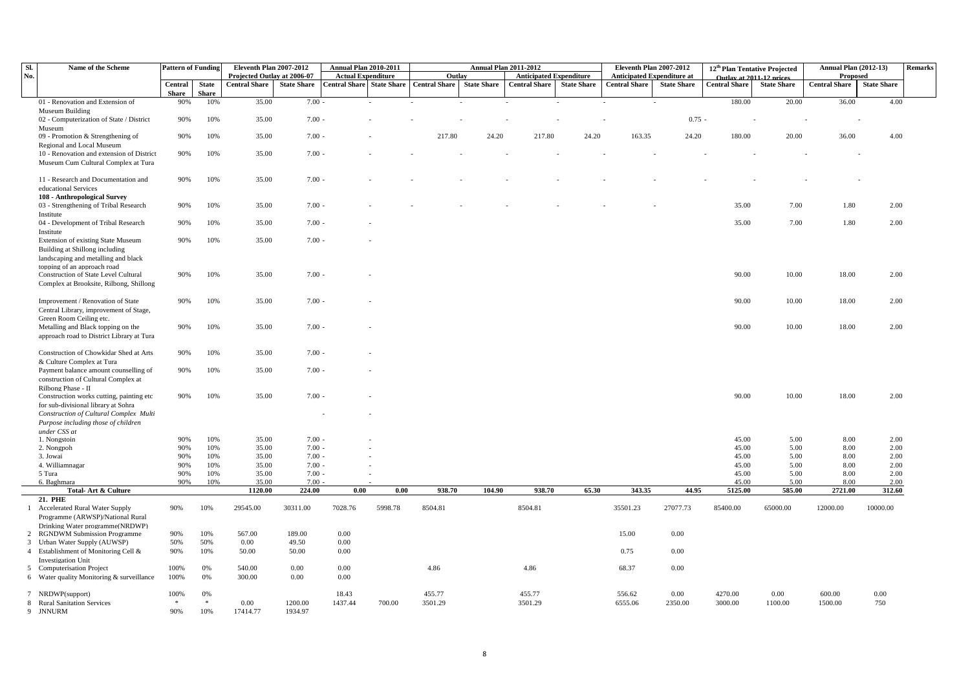| Sl.            | Name of the Scheme                        | <b>Pattern of Funding</b> |              | Eleventh Plan 2007-2012     |                    | <b>Annual Plan 2010-2011</b>     |         |                      |                    | <b>Annual Plan 2011-2012</b>   |                    | Eleventh Plan 2007-2012           |                    |                          | 12 <sup>th</sup> Plan Tentative Projected | <b>Annual Plan (2012-13)</b> |                    | Remarks |
|----------------|-------------------------------------------|---------------------------|--------------|-----------------------------|--------------------|----------------------------------|---------|----------------------|--------------------|--------------------------------|--------------------|-----------------------------------|--------------------|--------------------------|-------------------------------------------|------------------------------|--------------------|---------|
| No.            |                                           |                           |              | Projected Outlay at 2006-07 |                    | <b>Actual Expenditure</b>        |         | Outlay               |                    | <b>Anticipated Expenditure</b> |                    | <b>Anticipated Expenditure at</b> |                    | Outlay at 2011-12 prices |                                           | Proposed                     |                    |         |
|                |                                           | Central                   | <b>State</b> | <b>Central Share</b>        | <b>State Share</b> | <b>Central Share</b> State Share |         | <b>Central Share</b> | <b>State Share</b> | <b>Central Share</b>           | <b>State Share</b> | <b>Central Share</b>              | <b>State Share</b> | <b>Central Share</b>     | <b>State Share</b>                        | <b>Central Share</b>         | <b>State Share</b> |         |
|                |                                           | <b>Share</b>              | <b>Share</b> |                             |                    |                                  |         |                      |                    |                                |                    |                                   |                    |                          |                                           |                              |                    |         |
|                | 01 - Renovation and Extension of          | 90%                       | 10%          | 35.00                       | $7.00 -$           |                                  |         |                      |                    |                                |                    |                                   |                    | 180.00                   | 20.00                                     | 36.00                        | 4.00               |         |
|                | Museum Building                           |                           |              |                             |                    |                                  |         |                      |                    |                                |                    |                                   |                    |                          |                                           |                              |                    |         |
|                | 02 - Computerization of State / District  | 90%                       | 10%          | 35.00                       | $7.00 -$           |                                  |         |                      |                    |                                |                    |                                   | $0.75 -$           |                          |                                           |                              |                    |         |
|                | Museum                                    |                           |              |                             |                    |                                  |         |                      |                    |                                |                    |                                   |                    |                          |                                           |                              |                    |         |
|                | 09 - Promotion & Strengthening of         | 90%                       | 10%          | 35.00                       | $7.00 -$           |                                  |         | 217.80               | 24.20              | 217.80                         | 24.20              | 163.35                            | 24.20              | 180.00                   | 20.00                                     | 36.00                        | 4.00               |         |
|                | Regional and Local Museum                 |                           |              |                             |                    |                                  |         |                      |                    |                                |                    |                                   |                    |                          |                                           |                              |                    |         |
|                | 10 - Renovation and extension of District | 90%                       | 10%          | 35.00                       | $7.00 -$           |                                  |         |                      |                    |                                |                    |                                   |                    |                          |                                           |                              |                    |         |
|                | Museum Cum Cultural Complex at Tura       |                           |              |                             |                    |                                  |         |                      |                    |                                |                    |                                   |                    |                          |                                           |                              |                    |         |
|                |                                           |                           |              |                             |                    |                                  |         |                      |                    |                                |                    |                                   |                    |                          |                                           |                              |                    |         |
|                | 11 - Research and Documentation and       | 90%                       | 10%          | 35.00                       | $7.00 -$           |                                  |         |                      |                    |                                |                    |                                   |                    |                          |                                           |                              |                    |         |
|                | educational Services                      |                           |              |                             |                    |                                  |         |                      |                    |                                |                    |                                   |                    |                          |                                           |                              |                    |         |
|                | 108 - Anthropological Survey              |                           |              |                             |                    |                                  |         |                      |                    |                                |                    |                                   |                    |                          |                                           |                              |                    |         |
|                | 03 - Strengthening of Tribal Research     | 90%                       | 10%          | 35.00                       | $7.00 -$           |                                  |         |                      |                    |                                |                    |                                   |                    | 35.00                    | 7.00                                      | 1.80                         | 2.00               |         |
|                | Institute                                 |                           |              |                             |                    |                                  |         |                      |                    |                                |                    |                                   |                    |                          |                                           |                              |                    |         |
|                | 04 - Development of Tribal Research       | 90%                       | 10%          | 35.00                       | $7.00 -$           |                                  |         |                      |                    |                                |                    |                                   |                    | 35.00                    | 7.00                                      | 1.80                         | 2.00               |         |
|                | Institute                                 |                           |              |                             |                    |                                  |         |                      |                    |                                |                    |                                   |                    |                          |                                           |                              |                    |         |
|                | Extension of existing State Museum        | 90%                       | 10%          | 35.00                       | $7.00 -$           |                                  |         |                      |                    |                                |                    |                                   |                    |                          |                                           |                              |                    |         |
|                |                                           |                           |              |                             |                    |                                  |         |                      |                    |                                |                    |                                   |                    |                          |                                           |                              |                    |         |
|                | Building at Shillong including            |                           |              |                             |                    |                                  |         |                      |                    |                                |                    |                                   |                    |                          |                                           |                              |                    |         |
|                | landscaping and metalling and black       |                           |              |                             |                    |                                  |         |                      |                    |                                |                    |                                   |                    |                          |                                           |                              |                    |         |
|                | topping of an approach road               |                           |              |                             |                    |                                  |         |                      |                    |                                |                    |                                   |                    |                          |                                           |                              |                    |         |
|                | Construction of State Level Cultural      | 90%                       | 10%          | 35.00                       | $7.00 -$           |                                  |         |                      |                    |                                |                    |                                   |                    | 90.00                    | 10.00                                     | 18.00                        | 2.00               |         |
|                | Complex at Brooksite, Rilbong, Shillong   |                           |              |                             |                    |                                  |         |                      |                    |                                |                    |                                   |                    |                          |                                           |                              |                    |         |
|                |                                           |                           |              |                             |                    |                                  |         |                      |                    |                                |                    |                                   |                    |                          |                                           |                              |                    |         |
|                | Improvement / Renovation of State         | 90%                       | 10%          | 35.00                       | $7.00 -$           |                                  |         |                      |                    |                                |                    |                                   |                    | 90.00                    | 10.00                                     | 18.00                        | 2.00               |         |
|                | Central Library, improvement of Stage,    |                           |              |                             |                    |                                  |         |                      |                    |                                |                    |                                   |                    |                          |                                           |                              |                    |         |
|                | Green Room Ceiling etc.                   |                           |              |                             |                    |                                  |         |                      |                    |                                |                    |                                   |                    |                          |                                           |                              |                    |         |
|                | Metalling and Black topping on the        | 90%                       | 10%          | 35.00                       | $7.00 -$           |                                  |         |                      |                    |                                |                    |                                   |                    | 90.00                    | 10.00                                     | 18.00                        | 2.00               |         |
|                | approach road to District Library at Tura |                           |              |                             |                    |                                  |         |                      |                    |                                |                    |                                   |                    |                          |                                           |                              |                    |         |
|                |                                           |                           |              |                             |                    |                                  |         |                      |                    |                                |                    |                                   |                    |                          |                                           |                              |                    |         |
|                | Construction of Chowkidar Shed at Arts    | 90%                       | 10%          | 35.00                       | $7.00 -$           |                                  |         |                      |                    |                                |                    |                                   |                    |                          |                                           |                              |                    |         |
|                | & Culture Complex at Tura                 |                           |              |                             |                    |                                  |         |                      |                    |                                |                    |                                   |                    |                          |                                           |                              |                    |         |
|                | Payment balance amount counselling of     | 90%                       | 10%          | 35.00                       | $7.00 -$           |                                  |         |                      |                    |                                |                    |                                   |                    |                          |                                           |                              |                    |         |
|                | construction of Cultural Complex at       |                           |              |                             |                    |                                  |         |                      |                    |                                |                    |                                   |                    |                          |                                           |                              |                    |         |
|                | Rilbong Phase - II                        |                           |              |                             |                    |                                  |         |                      |                    |                                |                    |                                   |                    |                          |                                           |                              |                    |         |
|                | Construction works cutting, painting etc  | 90%                       | 10%          | 35.00                       | $7.00 -$           |                                  |         |                      |                    |                                |                    |                                   |                    | 90.00                    | 10.00                                     | 18.00                        | 2.00               |         |
|                | for sub-divisional library at Sohra       |                           |              |                             |                    |                                  |         |                      |                    |                                |                    |                                   |                    |                          |                                           |                              |                    |         |
|                | Construction of Cultural Complex Multi    |                           |              |                             |                    |                                  |         |                      |                    |                                |                    |                                   |                    |                          |                                           |                              |                    |         |
|                | Purpose including those of children       |                           |              |                             |                    |                                  |         |                      |                    |                                |                    |                                   |                    |                          |                                           |                              |                    |         |
|                | under CSS at                              |                           |              |                             |                    |                                  |         |                      |                    |                                |                    |                                   |                    |                          |                                           |                              |                    |         |
|                | 1. Nongstoin                              | 90%                       | 10%          | 35.00                       | $7.00 -$           |                                  |         |                      |                    |                                |                    |                                   |                    | 45.00                    | 5.00                                      | 8.00                         | 2.00               |         |
|                | 2. Nongpoh                                | 90%                       | 10%          | 35.00                       | $7.00 -$           |                                  |         |                      |                    |                                |                    |                                   |                    | 45.00                    | 5.00                                      | 8.00                         | 2.00               |         |
|                | 3. Jowai                                  | 90%                       | 10%          | 35.00                       | $7.00 -$           |                                  |         |                      |                    |                                |                    |                                   |                    | 45.00                    | 5.00                                      | 8.00                         | 2.00               |         |
|                | 4. Williamnagar                           | 90%                       | 10%          | 35.00                       | $7.00 -$           |                                  |         |                      |                    |                                |                    |                                   |                    | 45.00                    | 5.00                                      | 8.00                         | 2.00               |         |
|                | 5 Tura                                    | 90%                       | 10%          | 35.00                       | 7.00               |                                  |         |                      |                    |                                |                    |                                   |                    | 45.00                    | 5.00                                      | 8.00                         | 2.00               |         |
|                | 6. Baghmara                               | 90%                       | 10%          | 35.00                       | 7.00               |                                  |         |                      |                    |                                |                    |                                   |                    | 45.00                    | 5.00                                      | 8.00                         | 2.00               |         |
|                | Total-Art & Culture                       |                           |              | 1120.00                     | 224.00             | 0.00                             | 0.00    | 938.70               | 104.90             | 938.70                         | 65.30              | 343.35                            | 44.95              | 5125.00                  | 585.00                                    | 2721.00                      | 312.60             |         |
|                | 21. PHE                                   |                           |              |                             |                    |                                  |         |                      |                    |                                |                    |                                   |                    |                          |                                           |                              |                    |         |
|                | 1 Accelerated Rural Water Supply          | 90%                       | 10%          | 29545.00                    | 30311.00           | 7028.76                          | 5998.78 | 8504.81              |                    | 8504.81                        |                    | 35501.23                          | 27077.73           | 85400.00                 | 65000.00                                  | 12000.00                     | 10000.00           |         |
|                | Programme (ARWSP)/National Rural          |                           |              |                             |                    |                                  |         |                      |                    |                                |                    |                                   |                    |                          |                                           |                              |                    |         |
|                | Drinking Water programme(NRDWP)           |                           |              |                             |                    |                                  |         |                      |                    |                                |                    |                                   |                    |                          |                                           |                              |                    |         |
| $\overline{2}$ | <b>RGNDWM Submission Programme</b>        | 90%                       | 10%          | 567.00                      | 189.00             | 0.00                             |         |                      |                    |                                |                    | 15.00                             | 0.00               |                          |                                           |                              |                    |         |
|                | 3 Urban Water Supply (AUWSP)              | 50%                       | 50%          | 0.00                        | 49.50              | 0.00                             |         |                      |                    |                                |                    |                                   |                    |                          |                                           |                              |                    |         |
|                | 4 Establishment of Monitoring Cell &      | 90%                       | 10%          | 50.00                       | 50.00              | 0.00                             |         |                      |                    |                                |                    | 0.75                              | 0.00               |                          |                                           |                              |                    |         |
|                |                                           |                           |              |                             |                    |                                  |         |                      |                    |                                |                    |                                   |                    |                          |                                           |                              |                    |         |
|                | Investigation Unit                        |                           |              |                             |                    |                                  |         |                      |                    |                                |                    |                                   |                    |                          |                                           |                              |                    |         |
|                | 5 Computerisation Project                 | 100%                      | 0%           | 540.00                      | 0.00               | 0.00                             |         | 4.86                 |                    | 4.86                           |                    | 68.37                             | 0.00               |                          |                                           |                              |                    |         |
|                | 6 Water quality Monitoring & surveillance | 100%                      | 0%           | 300.00                      | 0.00               | 0.00                             |         |                      |                    |                                |                    |                                   |                    |                          |                                           |                              |                    |         |
|                |                                           |                           |              |                             |                    |                                  |         |                      |                    |                                |                    |                                   |                    |                          |                                           |                              |                    |         |
|                | 7 NRDWP(support)                          | 100%                      | 0%           |                             |                    | 18.43                            |         | 455.77               |                    | 455.77                         |                    | 556.62                            | 0.00               | 4270.00                  | 0.00                                      | 600.00                       | 0.00               |         |
|                | 8 Rural Sanitation Services               | $\ast$                    | $\ast$       | 0.00                        | 1200.00            | 1437.44                          | 700.00  | 3501.29              |                    | 3501.29                        |                    | 6555.06                           | 2350.00            | 3000.00                  | 1100.00                                   | 1500.00                      | 750                |         |
|                | 9 JNNURM                                  | 90%                       | 10%          | 17414.77                    | 1934.97            |                                  |         |                      |                    |                                |                    |                                   |                    |                          |                                           |                              |                    |         |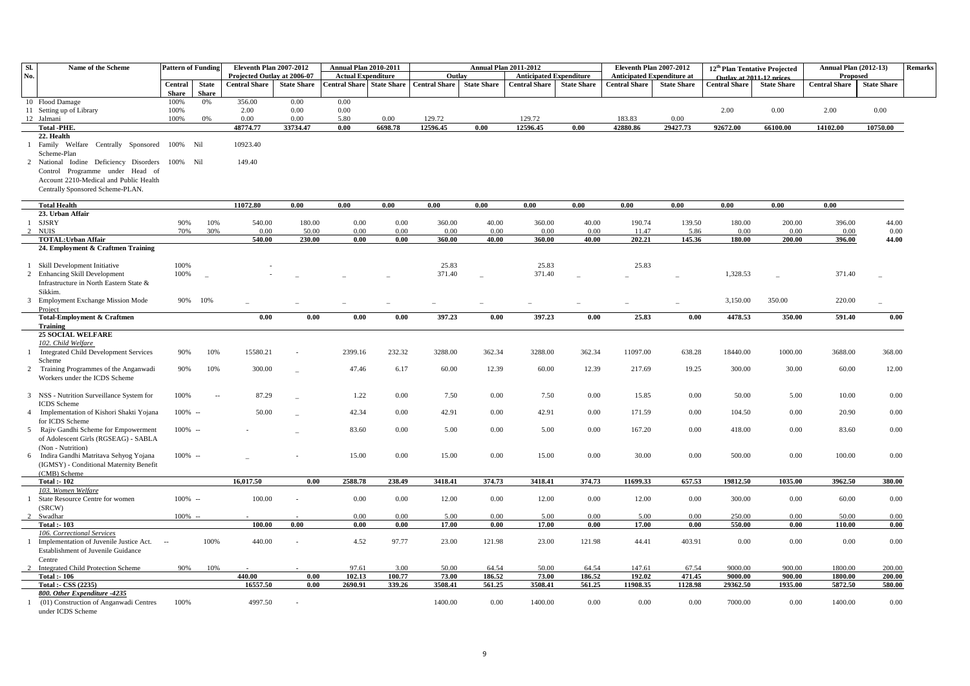| SI.            | Name of the Scheme                                                          | <b>Pattern of Funding</b> |                | <b>Eleventh Plan 2007-2012</b> |                    | Annual Plan 2010-2011     |                           |                      |                    | <b>Annual Plan 2011-2012</b>   |                    |                      | <b>Eleventh Plan 2007-2012</b>    |               | 12 <sup>th</sup> Plan Tentative Projected | <b>Annual Plan (2012-13)</b> |                    | <b>Remarks</b> |
|----------------|-----------------------------------------------------------------------------|---------------------------|----------------|--------------------------------|--------------------|---------------------------|---------------------------|----------------------|--------------------|--------------------------------|--------------------|----------------------|-----------------------------------|---------------|-------------------------------------------|------------------------------|--------------------|----------------|
| No.            |                                                                             |                           |                | Projected Outlay at 2006-07    |                    | <b>Actual Expenditure</b> |                           | Outlay               |                    | <b>Anticipated Expenditure</b> |                    |                      | <b>Anticipated Expenditure at</b> |               | Outlay at 2011-12 prices                  | Proposed                     |                    |                |
|                |                                                                             | Central                   | <b>State</b>   | <b>Central Share</b>           | <b>State Share</b> |                           | Central Share State Share | <b>Central Share</b> | <b>State Share</b> | <b>Central Share</b>           | <b>State Share</b> | <b>Central Share</b> | <b>State Share</b>                | Central Share | <b>State Share</b>                        | <b>Central Share</b>         | <b>State Share</b> |                |
|                |                                                                             | <b>Share</b>              | <b>Share</b>   |                                |                    |                           |                           |                      |                    |                                |                    |                      |                                   |               |                                           |                              |                    |                |
|                | 10 Flood Damage<br>11 Setting up of Library                                 | 100%<br>100%              | 0%             | 356.00<br>2.00                 | 0.00<br>0.00       | 0.00<br>0.00              |                           |                      |                    |                                |                    |                      |                                   | 2.00          | 0.00                                      | 2.00                         | 0.00               |                |
|                | 12 Jalmani                                                                  | 100%                      | 0%             | 0.00                           | 0.00               | 5.80                      | 0.00                      | 129.72               |                    | 129.72                         |                    | 183.83               | 0.00                              |               |                                           |                              |                    |                |
|                | <b>Total -PHE.</b>                                                          |                           |                | 48774.77                       | 33734.47           | 0.00                      | 6698.78                   | 12596.45             | 0.00               | 12596.45                       | 0.00               | 42880.86             | 29427.73                          | 92672.00      | 66100.00                                  | 14102.00                     | 10750.00           |                |
|                | 22. Health                                                                  |                           |                |                                |                    |                           |                           |                      |                    |                                |                    |                      |                                   |               |                                           |                              |                    |                |
|                | 1 Family Welfare Centrally Sponsored 100% Nil                               |                           |                | 10923.40                       |                    |                           |                           |                      |                    |                                |                    |                      |                                   |               |                                           |                              |                    |                |
|                | Scheme-Plan                                                                 |                           |                |                                |                    |                           |                           |                      |                    |                                |                    |                      |                                   |               |                                           |                              |                    |                |
|                | 2 National Iodine Deficiency Disorders                                      | 100% Nil                  |                | 149.40                         |                    |                           |                           |                      |                    |                                |                    |                      |                                   |               |                                           |                              |                    |                |
|                | Control Programme under Head of                                             |                           |                |                                |                    |                           |                           |                      |                    |                                |                    |                      |                                   |               |                                           |                              |                    |                |
|                | Account 2210-Medical and Public Health                                      |                           |                |                                |                    |                           |                           |                      |                    |                                |                    |                      |                                   |               |                                           |                              |                    |                |
|                | Centrally Sponsored Scheme-PLAN.                                            |                           |                |                                |                    |                           |                           |                      |                    |                                |                    |                      |                                   |               |                                           |                              |                    |                |
|                | <b>Total Health</b>                                                         |                           |                | 11072.80                       | 0.00               | 0.00                      | 0.00                      | 0.00                 | 0.00               | 0.00                           | 0.00               | 0.00                 | 0.00                              | 0.00          | 0.00                                      | $0.00\,$                     |                    |                |
|                | 23. Urban Affair                                                            |                           |                |                                |                    |                           |                           |                      |                    |                                |                    |                      |                                   |               |                                           |                              |                    |                |
| -1             | <b>SJSRY</b>                                                                | 90%                       | 10%            | 540.00                         | 180.00             | 0.00                      | 0.00                      | 360.00               | 40.00              | 360.00                         | 40.00              | 190.74               | 139.50                            | 180.00        | 200.00                                    | 396.00                       | 44.00              |                |
| 2              | <b>NUIS</b>                                                                 | 70%                       | 30%            | 0.00                           | 50.00              | 0.00                      | 0.00                      | 0.00                 | 0.00               | 0.00                           | 0.00               | 11.47                | 5.86                              | 0.00          | 0.00                                      | 0.00                         | 0.00               |                |
|                | <b>TOTAL: Urban Affair</b>                                                  |                           |                | 540.00                         | 230.00             | 0.00                      | 0.00                      | 360.00               | 40.00              | 360.00                         | 40.00              | 202.21               | 145.36                            | 180.00        | 200.00                                    | 396.00                       | 44.00              |                |
|                | 24. Employment & Craftmen Training                                          |                           |                |                                |                    |                           |                           |                      |                    |                                |                    |                      |                                   |               |                                           |                              |                    |                |
|                |                                                                             | 100%                      |                |                                |                    |                           |                           | 25.83                |                    | 25.83                          |                    | 25.83                |                                   |               |                                           |                              |                    |                |
| $\overline{c}$ | Skill Development Initiative<br><b>Enhancing Skill Development</b>          | 100%                      |                |                                |                    |                           |                           | 371.40               |                    | 371.40                         |                    |                      |                                   | 1,328.53      |                                           | 371.40                       |                    |                |
|                | Infrastructure in North Eastern State &                                     |                           |                |                                |                    |                           |                           |                      |                    |                                |                    |                      |                                   |               |                                           |                              |                    |                |
|                | Sikkim.                                                                     |                           |                |                                |                    |                           |                           |                      |                    |                                |                    |                      |                                   |               |                                           |                              |                    |                |
|                | 3 Employment Exchange Mission Mode                                          | 90%                       | 10%            |                                |                    |                           |                           |                      |                    |                                |                    |                      |                                   | 3,150.00      | 350.00                                    | 220.00                       |                    |                |
|                | Project                                                                     |                           |                |                                |                    |                           |                           |                      |                    |                                |                    |                      |                                   |               |                                           |                              |                    |                |
|                | <b>Total-Employment &amp; Craftmen</b>                                      |                           |                | 0.00                           | 0.00               | 0.00                      | 0.00                      | 397.23               | 0.00               | 397.23                         | 0.00               | 25.83                | $0.00\,$                          | 4478.53       | 350.00                                    | 591.40                       | 0.00               |                |
|                | Training                                                                    |                           |                |                                |                    |                           |                           |                      |                    |                                |                    |                      |                                   |               |                                           |                              |                    |                |
|                | <b>25 SOCIAL WELFARE</b>                                                    |                           |                |                                |                    |                           |                           |                      |                    |                                |                    |                      |                                   |               |                                           |                              |                    |                |
|                | 102. Child Welfare<br>1 Integrated Child Development Services               | 90%                       | 10%            | 15580.21                       |                    | 2399.16                   | 232.32                    | 3288.00              | 362.34             | 3288.00                        | 362.34             | 11097.00             | 638.28                            | 18440.00      | 1000.00                                   | 3688.00                      | 368.00             |                |
|                | Scheme                                                                      |                           |                |                                |                    |                           |                           |                      |                    |                                |                    |                      |                                   |               |                                           |                              |                    |                |
|                | 2 Training Programmes of the Anganwadi                                      | 90%                       | 10%            | 300.00                         |                    | 47.46                     | 6.17                      | 60.00                | 12.39              | 60.00                          | 12.39              | 217.69               | 19.25                             | 300.00        | 30.00                                     | 60.00                        | 12.00              |                |
|                | Workers under the ICDS Scheme                                               |                           |                |                                |                    |                           |                           |                      |                    |                                |                    |                      |                                   |               |                                           |                              |                    |                |
|                |                                                                             |                           |                |                                |                    |                           |                           |                      |                    |                                |                    |                      |                                   |               |                                           |                              |                    |                |
|                | 3 NSS - Nutrition Surveillance System for                                   | 100%                      | $\overline{a}$ | 87.29                          |                    | 1.22                      | 0.00                      | 7.50                 | 0.00               | 7.50                           | 0.00               | 15.85                | 0.00                              | 50.00         | 5.00                                      | 10.00                        | 0.00               |                |
|                | <b>ICDS</b> Scheme                                                          |                           |                |                                |                    |                           |                           |                      |                    |                                |                    |                      |                                   |               |                                           |                              |                    |                |
| $\overline{4}$ | Implementation of Kishori Shakti Yojana                                     | $100\%$ --                |                | 50.00                          |                    | 42.34                     | 0.00                      | 42.91                | 0.00               | 42.91                          | 0.00               | 171.59               | 0.00                              | 104.50        | 0.00                                      | 20.90                        | 0.00               |                |
|                | for ICDS Scheme                                                             |                           |                |                                |                    |                           |                           |                      |                    |                                |                    |                      |                                   |               |                                           |                              |                    |                |
| 5              | Rajiv Gandhi Scheme for Empowerment<br>of Adolescent Girls (RGSEAG) - SABLA | $100\% -$                 |                |                                |                    | 83.60                     | 0.00                      | 5.00                 | 0.00               | 5.00                           | 0.00               | 167.20               | 0.00                              | 418.00        | 0.00                                      | 83.60                        | 0.00               |                |
|                | (Non - Nutrition)                                                           |                           |                |                                |                    |                           |                           |                      |                    |                                |                    |                      |                                   |               |                                           |                              |                    |                |
|                | Indira Gandhi Matritava Sehyog Yojana                                       | $100\% -$                 |                |                                |                    | 15.00                     | 0.00                      | 15.00                | 0.00               | 15.00                          | 0.00               | 30.00                | 0.00                              | 500.00        | 0.00                                      | 100.00                       | 0.00               |                |
|                | (IGMSY) - Conditional Maternity Benefit                                     |                           |                |                                |                    |                           |                           |                      |                    |                                |                    |                      |                                   |               |                                           |                              |                    |                |
|                | (CMB) Scheme                                                                |                           |                |                                |                    |                           |                           |                      |                    |                                |                    |                      |                                   |               |                                           |                              |                    |                |
|                | <b>Total :- 102</b>                                                         |                           |                | 16,017.50                      | 0.00               | 2588.78                   | 238.49                    | 3418.41              | 374.73             | 3418.41                        | 374.73             | 11699.33             | 657.53                            | 19812.50      | 1035.00                                   | 3962.50                      | 380.00             |                |
|                | 103. Women Welfare                                                          |                           |                |                                |                    |                           |                           |                      |                    |                                |                    |                      |                                   |               |                                           |                              |                    |                |
|                | 1 State Resource Centre for women                                           | $100\%$ --                |                | 100.00                         |                    | 0.00                      | 0.00                      | 12.00                | 0.00               | 12.00                          | 0.00               | 12.00                | 0.00                              | 300.00        | 0.00                                      | 60.00                        | 0.00               |                |
|                | (SRCW)<br>Swadhar                                                           | $100\%$ -                 |                |                                |                    | 0.00                      | 0.00                      | 5.00                 | 0.00               | 5.00                           | 0.00               | 5.00                 | 0.00                              | 250.00        | 0.00                                      | 50.00                        | 0.00               |                |
|                | <b>Total: - 103</b>                                                         |                           |                | 100.00                         | 0.00               | 0.00                      | 0.00                      | 17.00                | 0.00               | 17.00                          | 0.00               | 17.00                | 0.00                              | 550.00        | 0.00                                      | 110.00                       | 0.00               |                |
|                | 106. Correctional Services                                                  |                           |                |                                |                    |                           |                           |                      |                    |                                |                    |                      |                                   |               |                                           |                              |                    |                |
|                | Implementation of Juvenile Justice Act.                                     | $\sim$                    | 100%           | 440.00                         |                    | 4.52                      | 97.77                     | 23.00                | 121.98             | 23.00                          | 121.98             | 44.41                | 403.91                            | 0.00          | 0.00                                      | 0.00                         | 0.00               |                |
|                | Establishment of Juvenile Guidance                                          |                           |                |                                |                    |                           |                           |                      |                    |                                |                    |                      |                                   |               |                                           |                              |                    |                |
|                | Centre                                                                      |                           |                |                                |                    |                           |                           |                      |                    |                                |                    |                      |                                   |               |                                           |                              |                    |                |
|                | Integrated Child Protection Scheme                                          | 90%                       | 10%            |                                |                    | 97.61                     | 3.00                      | 50.00                | 64.54              | 50.00                          | 64.54              | 147.61               | 67.54                             | 9000.00       | 900.00                                    | 1800.00                      | 200.00             |                |
|                | Total: 106                                                                  |                           |                | 440.00                         | 0.00               | 102.13                    | 100.77                    | 73.00                | 186.52             | 73.00                          | 186.52             | 192.02               | 471.45                            | 9000.00       | 900.00                                    | 1800.00                      | 200.00             |                |
|                | Total: - CSS (2235)<br>800. Other Expenditure -4235                         |                           |                | 16557.50                       | 0.00               | 2690.91                   | 339.26                    | 3508.41              | 561.25             | 3508.41                        | 561.25             | 11908.35             | 1128.98                           | 29362.50      | 1935.00                                   | 5872.50                      | 580.00             |                |
|                | (01) Construction of Anganwadi Centres                                      | 100%                      |                | 4997.50                        |                    |                           |                           | 1400.00              | 0.00               | 1400.00                        | 0.00               | 0.00                 | 0.00                              | 7000.00       | 0.00                                      | 1400.00                      | 0.00               |                |
|                | under ICDS Scheme                                                           |                           |                |                                |                    |                           |                           |                      |                    |                                |                    |                      |                                   |               |                                           |                              |                    |                |